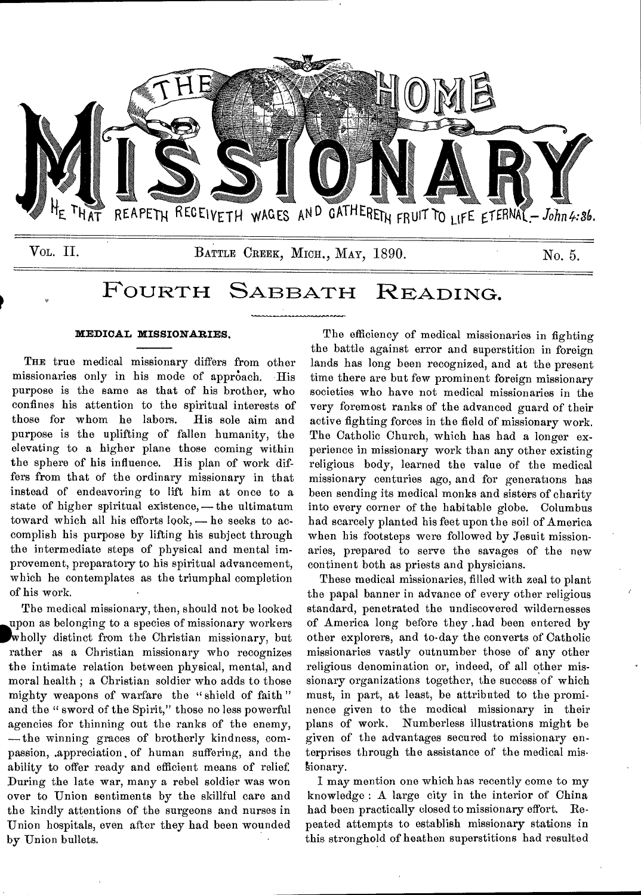

# FOURTH SABBATH READING.

### **MEDICAL MISSIONARIES.**

THE true medical missionary differs from other missionaries only in his mode of approach. His purpose is the same as that of his brother, who confines his attention to the spiritual interests of those for whom be labors. His sole aim and purpose is the uplifting of fallen humanity, the elevating to a higher plane those coming within the sphere of his influence. His plan of work differs from that of the ordinary missionary in that instead of endeavoring to lift him at once to a state of higher spiritual existence, — the ultimatum toward which all his efforts look, — he seeks to accomplish his purpose by lifting his subject through the intermediate steps of physical and mental improvement, preparatory to his spiritual advancement, which he contemplates as the triumphal completion of his work.

The medical missionary, then, should not be looked upon as belonging to a species of missionary workers 'wholly distinct from the Christian missionary, but rather as a Christian missionary who recognizes the intimate relation between physical, mental, and moral health ; a Christian soldier who adds to those mighty weapons of warfare the "shield of faith" and the " sword of the Spirit," those no less powerful agencies for thinning out the ranks of the enemy, —the winning graces of brotherly kindness, compassion, .appreciation, of human suffering, and the ability to offer ready and efficient means of relief. During the late war, many a rebel soldier was won over to Union sentiments by the skillful care and the kindly attentions of the surgeons and nurses in Union hospitals, even after they had been wounded by Union bullets.

The efficiency of medical missionaries in fighting the battle against error and superstition in foreign lands has long been recognized, and at the present time there are but few prominent foreign missionary societies who have not medical missionaries in the very foremost ranks of the advanced guard of their active fighting forces in the field of missionary work. The Catholic Church, which has had a longer experience in missionary work than any other existing religious body, learned the value of the medical missionary centuries ago, and for generations has been sending its medical monks and sisters of charity into every corner of the habitable globe. Columbus had scarcely planted his feet upon the soil of America when his footsteps were followed by Jesuit missionaries, prepared to serve the savages of the new continent both as priests and physicians.

These medical missionaries, filled with zeal to plant the papal banner in advance of every other religious standard, penetrated the undiscovered wildernesses of America long before they .had been entered by other explorers, and to-day the converts of Catholic missionaries vastly outnumber those of any other religious denomination or, indeed, of all other missionary organizations together, the success of which must, in part, at least, be attributed to the prominence given to the medical missionary in their plans of work. Numberless illustrations might be given of the advantages secured to missionary enterprises through the assistance of the medical mis sionary.

I may mention one which has recently come to my knowledge : A large city in the interior of China had been practically closed to missionary effort. Repeated attempts to establish missionary stations in this stronghold of heathen superstitions had resulted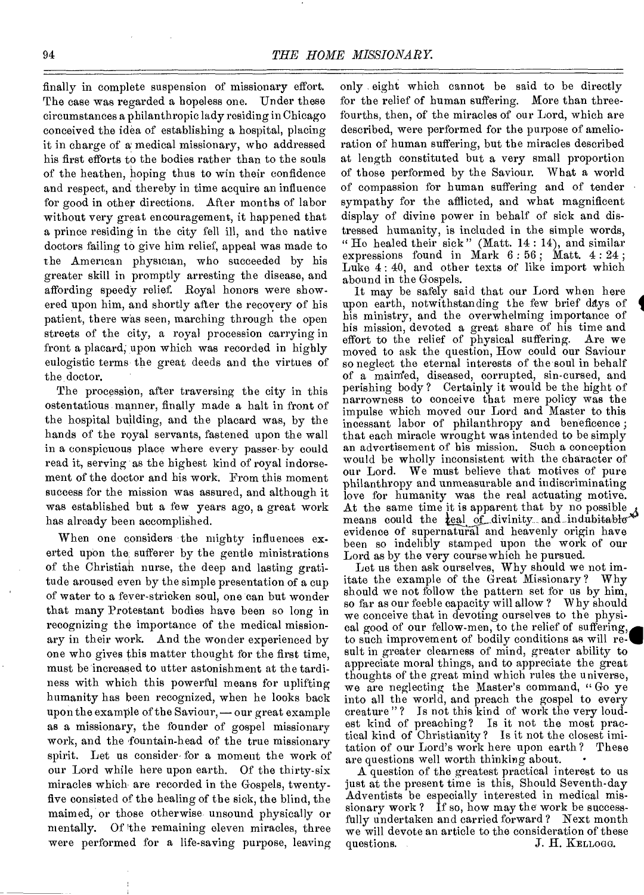finally in complete suspension of missionary effort. The case was regarded a hopeless one. Under these circumstances a philanthropic lady residing in Chicago conceived the idea of establishing a hospital, placing it in charge of a medical missionary, who addressed his first efforts to the bodies rather than to the souls of the heathen, hoping thus to win their confidence and respect, and thereby in time acquire an influence for good in other directions. After months of labor without very great encouragement, it happened that a prince residing in the city fell ill, and the native doctors failing to give him relief, appeal was made to the American physician, who succeeded by his greater skill in promptly arresting the disease, and affording speedy relief. Royal honors were showered upon him, and shortly after the recovery of his patient, there was seen, marching through the open streets of the city, a royal procession carrying in front a placard; upon which was recorded in highly eulogistic terms the great deeds and the virtues of the doctor.

The procession, after traversing the city in this ostentatious manner, finally made a halt in front of the hospital building, and the placard was, by the hands of the royal servants, fastened upon the wall in a conspicuous place where every passer-by could read it, serving as the highest kind of royal indorsement of the doctor and his work. From this moment success for the mission was assured, and although it was established but a few years ago, a great work has already been accomplished.

When one considers the mighty influences exerted upon the; sufferer by the gentle ministrations of the Christian nurse, the deep and lasting gratitude aroused even by the simple presentation of a cup of water to a fever-stricken soul, one can but wonder that many Protestant bodies have been so long in recognizing the importance of the medical missionary in their work And the wonder experienced by one who gives this matter thought for the first time, must be increased to utter astonishment at the tardiness with which this powerful means for uplifting humanity has been recognized, when he looks back upon the example of the Saviour, — our great example as a missionary, the founder of gospel missionary work, and the fountain-head of the true missionary spirit. Let us consider- for a moment the work of our Lord while here upon earth. Of the thirty-six miracles which are recorded in the Gospels, twentyfive consisted of the healing of the sick, the blind, the maimed, or those otherwise, unsound physically or mentally. Of the remaining eleven miracles, three were performed for a life-saving purpose, leaving

only eight which cannot be said to be directly for the relief of human suffering. More than threefourths, then, of the miracles of our Lord, which are described, were performed for the purpose of amelioration of human suffering, but the miracles described at length constituted but a very small proportion of those performed by the Saviour. What a world of compassion for human suffering and of tender sympathy for the afflicted, and what magnificent display of divine power in behalf of sick and distressed humanity, is included in the simple words, " He healed their sick" (Matt. 14 : 14), and similar expressions found in Mark  $6:56$ ; Matt.  $4:24$ ; Luke 4: 40, and other texts of like import which abound in the Gospels.

It may be safely said that our Lord when here upon earth, notwithstanding the few brief days of his ministry, and the overwhelming importance of his mission, devoted a great share of his time and effort to the relief of physical suffering. Are we moved to ask the question, How could our Saviour so neglect the eternal interests of the soul in behalf of a maimed, diseased, corrupted, sin-cursed, and perishing body? Certainly it would be the hight of narrowness to conceive that mere policy was the impulse which moved our Lord and Master to this incessant labor of philanthropy and beneficence ; that each miracle wrought was intended to be simply an advertisement of his mission. Such a conception would be wholly inconsistent with the character of our Lord. We must believe that motives of pure philanthropy and unmeasurable and indiscriminating love for humanity was the real actuating motive. At the same time it is apparent that by no possible means could the  $\text{real}$  of divinity and indubitable<sup>\*</sup> evidence of supernatural and heavenly origin have been so indelibly stamped upon the work of our Lord as by the very course which he pursued.

Let us then ask ourselves, Why should we not imitate the example of the Great Missionary? Why should we not follow the pattern set for us by him,<br>so far as our feeble capacity will allow? Why should<br>we conceive that in devoting ourselves to the physi-<br>cal good of our fellow-men, to the relief of suffering,<br>to such so far as our feeble capacity will allow ? Why should we conceive that in devoting ourselves to the physical good of our fellow-men, to the relief of suffering, to such improvement of bodily conditions as will resuit in greater clearness of mind, greater ability to appreciate moral things, and to appreciate the great thoughts of the great mind which rules the universe, we are neglecting the Master's command, " Go ye into all the world, and preach the gospel to every creature " ? Is not this kind of work the very loudest kind of preaching? Is it not the most practical kind of Christianity? Is it not the closest imitation of our Lord's work here upon earth ? These are questions well worth thinking about.

A question of the greatest practical interest to us just at the present time is this, Should Seventh-day Adventists be especially interested in medical missionary work ? If so, how may the work be successfully undertaken and carried forward? Next month we will devote an article to the consideration of these<br>questions. J. H. KELLOGG. J. H. KELLOGG.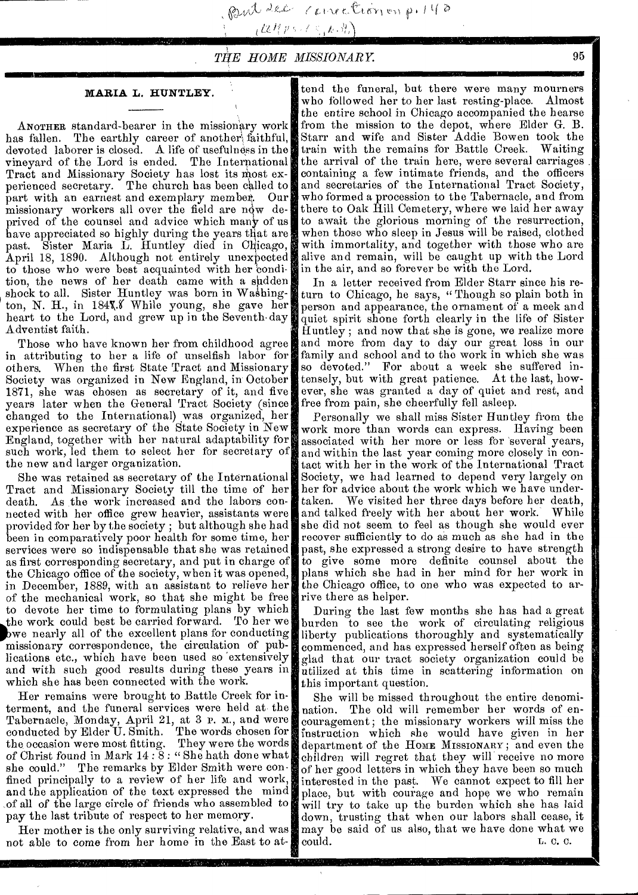ant let correction p.  $148$ 

 $_{L}$  (2  $l\left\{ p\leftarrow l\in\left\{ k\cdot\frac{R}{l}\right\}$ 

## *VIE HOME MISSIONARY* 95

#### **MARIA L. HUNTLEY.**

ANOTHER standard-bearer in the missionary work has fallen. The earthly career of another faithful, devoted laborer is closed. A life of usefulness in the vineyard of the Lord is ended. The International Tract and Missionary Society has lost its most experienced secretary. The church has been called to part with an earnest and exemplary member,. Our missionary workers all over the field are  $n\dot{q}w$  deprived of the counsel and advice which many of us have appreciated so highly during the years that are past. Sister Maria L. Huntley died in Chicago, April 18, 1890. Although not entirely unexpected to those who were best acquainted with her condition, the news of her death came with a sudden shock to all. Sister Huntley was born in Washington, N. H., in 184%. While young, she gave her heart to the Lord, and grew up in the Seventh-day Adventist faith.

Those who have known her from childhood agree in attributing to her a life of unselfish labor for others. When the first State Tract and Missionary Society was organized in New England, in October 1871, she was chosen as secretary of it, and five years later when the General Tract Society (since changed to the International) was organized, her experience as secretary of the State Society in New England, together with her natural adaptability for such work, led them to select her for secretary of the new and larger organization.

She was retained as secretary of the International Tract and Missionary Society till the time of her death. As the work increased and the labors connected with her office grew heavier, assistants were provided for her by the society ; but although she had been in comparatively poor health for some time, her services were so indispensable that she was retained as first corresponding secretary, and put in charge of the Chicago office of the society, when it was opened, in December, 1889, with an assistant to relieve her of the mechanical work, so that she might be free to devote her time to formulating plans by which the work could best be carried forward. To her we pwe nearly all of the excellent plans for conducting missionary correspondence, the circulation of publications etc., which have been used so 'extensively and with such good results during these years in which she has been connected with the work.

Her remains were brought to Battle Creek for interment, and the funeral services were held at the Tabernacle, Monday, April 21, at 3 p. m., and were conducted by Elder U. Smith. The words chosen for the occasion were most fitting. of Christ found in Mark 14:8: "She hath done what she could." The remarks by Elder Smith were confined principally to a review of her life and work, and the application of the text expressed the mind of all of the large circle of friends who assembled to pay the last tribute of respect to her memory.

Her mother is the only surviving relative, and was not able to come from her home in the East to at-

tend the funeral, but there were many mourners who followed her to her last resting-place. Almost the entire school in Chicago accompanied the hearse from the mission to the depot, where Elder G. B. Starr and wife and Sister Addie Bowen took the train with the remains for Battle Creek. the arrival of the train here, were several carriages containing a few intimate friends, and the officers and secretaries of the International Tract Society, who formed a procession to the Tabernacle, and from there to Oak Hill Cemetery, where we laid her away to await the glorious morning of the resurrection, when those who sleep in Jesus will be raised, clothed with immortality, and together with those who are alive and remain, will be caught up with the Lord in the air, and so forever be with the Lord.

In a letter received from Elder Starr since his return to Chicago, he says, " Though so plain both in person and appearance, the ornament of a meek and quiet spirit shone forth clearly in the life of Sister Huntley ; and now that she is gone, we realize more and more from day to day our great loss in our family and school and to the work in which she was<br>so devoted." For about a week she suffered in-For about a week she suffered intensely, but with great patience. At the last, however, she was granted a day of quiet and rest, and free from pain, she cheerfully fell asleep.

Personally we shall miss Sister Huntley from the work more than words can express. Having been associated with her more or less for 'several years, and within the last year coming more closely in contact with her in the work of the International Tract Society, we had learned to depend very largely on her for advice about the work which we have undertaken. We visited her three days before her death, and talked freely with her about her work. While and talked freely with her about her work. she did not seem to feel as though she would ever recover sufficiently to do as much as she had in the past, she expressed a strong desire to have strength to give some more definite counsel about the plans which she had in her mind for her work in the Chicago office, to one who was expected to arrive there as helper.

During the last few months she has had a great burden to see the work of circulating religious liberty publications thoroughly and systematically commenced, and has expressed herself often as being glad that our tract society organization could be utilized at this time in scattering information on this important question.

She will be missed throughout the entire denomination. The old will remember her words of encouragement; the missionary workers will miss the instruction which she would have given in her department of the HOME MISSIONARY; and even the children will regret that they will receive no more of her good letters in which they have been so much interested in the past. We cannot expect to fill her place, but with courage and hope we who remain will try to take up the burden which she has laid down, trusting that when our labors shall cease, it may be said of us also, that we have done what we could. could.  $L. C. C.$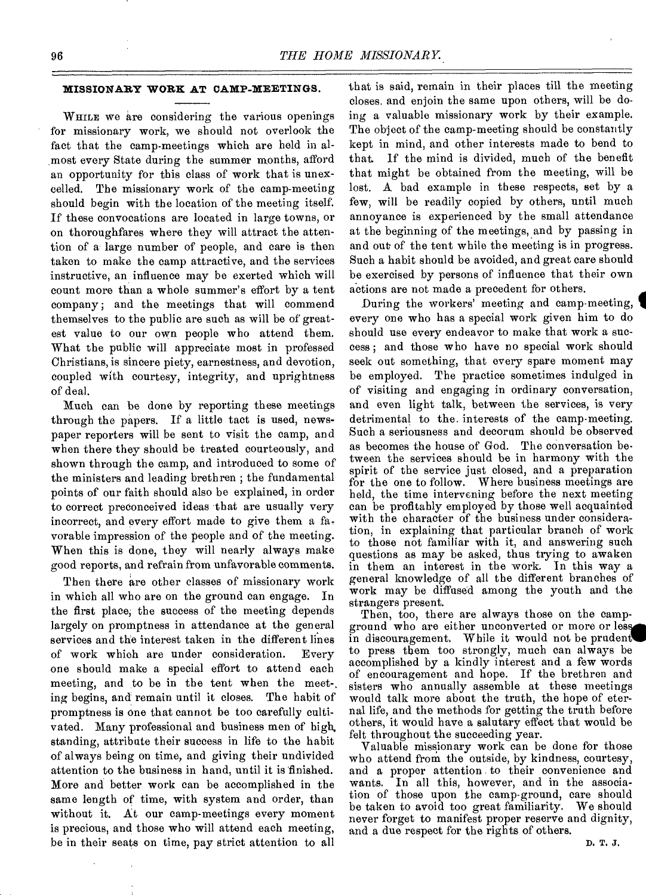## **MISSIONARY WORK AT CAMP-MEETINGS.**

WHILE we are considering the various openings for missionary work, we should not overlook the fact that the camp-meetings which are held in almost every State during the summer months, afford an opportunity for this class of work that is unexcelled. The missionary work of the camp-meeting should begin with the location of the meeting itself. If these convocations are located in large towns, or on thoroughfares where they will attract the attention of a large number of people, and care is then taken to make the camp attractive, and the services instructive, an influence may be exerted which will count more than a whole summer's effort by a tent company; and the meetings that will commend themselves to the public are such as will be of greatest value to our own people who attend them. What the public will appreciate most in professed Christians, is sincere piety, earnestness, and devotion, coupled with courtesy, integrity, and uprightness of deal.

Much can be done by reporting these meetings through the papers. If a little tact is used, newspaper reporters will be sent to visit the camp, and when there they should be treated courteously, and shown through the camp, and introduced to some of the ministers and leading brethren ; the fundamental points of our faith should also be explained, in order to correct preconceived ideas that are usually very incorrect, and every effort made to give them a favorable impression of the people and of the meeting. When this is done, they will nearly always make good reports, and refrain from unfavorable comments.

Then there are other classes of missionary work in which all who are on the ground can engage. In the first place, the success of the meeting depends largely on promptness in attendance at the general services and the interest taken in the different lines of work which are under consideration. Every one should make a special effort to attend each meeting, and to be in the tent when the meet-, ing begins, and remain until it closes. The habit of promptness is one that cannot be too carefully cultivated. Many professional and business men of high, standing, attribute their success in life to the habit of always being on time, and giving their undivided attention to the business in hand, until it is finished. More and better work can be accomplished in the same length of time, with system and order, than without it. At our camp-meetings every moment is precious, and those who will attend each meeting, be in their seats on time, pay strict attention to all

that is said, remain in their places till the meeting closes, and enjoin the same upon others, will be doing a valuable missionary work by their example. The object of the camp-meeting should be constantly kept in mind, and other interests made to bend to that. If the mind is divided, much of the benefit that might be obtained from the meeting, will be lost. A bad example in these respects, set by a few, will be readily copied by others, until much annoyance is experienced by the small attendance at the beginning of the meetings, and by passing in and out of the tent while the meeting is in progress. Such a habit should be avoided, and great care should be exercised by persons of influence that their own actions are not made a precedent for others.

During the workers' meeting and camp-meeting, every one who has a special work given him to do should use every endeavor to make that work a success ; and those who have no special work should seek out something, that every spare moment may be employed. The practice sometimes indulged in of visiting and engaging in ordinary conversation, and even light talk, between the services, is very detrimental to the. interests of the camp-meeting. Such a seriousness and decorum should be observed as becomes the house of God. The conversation between the services should be in harmony with the spirit of the service just closed, and a preparation for the one to follow. Where business meetings are held, the time intervening before the next meeting can be profitably employed by those well acquainted with the character of the business under consideration, in explaining that particular branch of work to those not familiar with it, and answering such questions as may be asked, thus trying to awaken in them an interest in the work. In this way a general knowledge of all the different branches of work may be diffused among the youth and the strangers present.

Then, too, there are always those on the campground who are either unconverted or more or less in discouragement. While it would not be pruden to press them too strongly, much can always be accomplished by a kindly interest and a few words of encouragement and hope. If the brethren and sisters who annually assemble at these meetings would talk more about the truth, the hope of eternal life, and the methods for getting the truth before others, it would have a salutary effect that would be felt throughout the succeeding year.

Valuable missionary work can be done for those who attend from the outside, by kindness, courtesy, and a proper attention to their convenience and wants. In all this, however, and in the association of those upon the camp-ground, care should be taken to avoid too great familiarity. We should never forget to manifest proper reserve and dignity, and a due respect for the rights of others.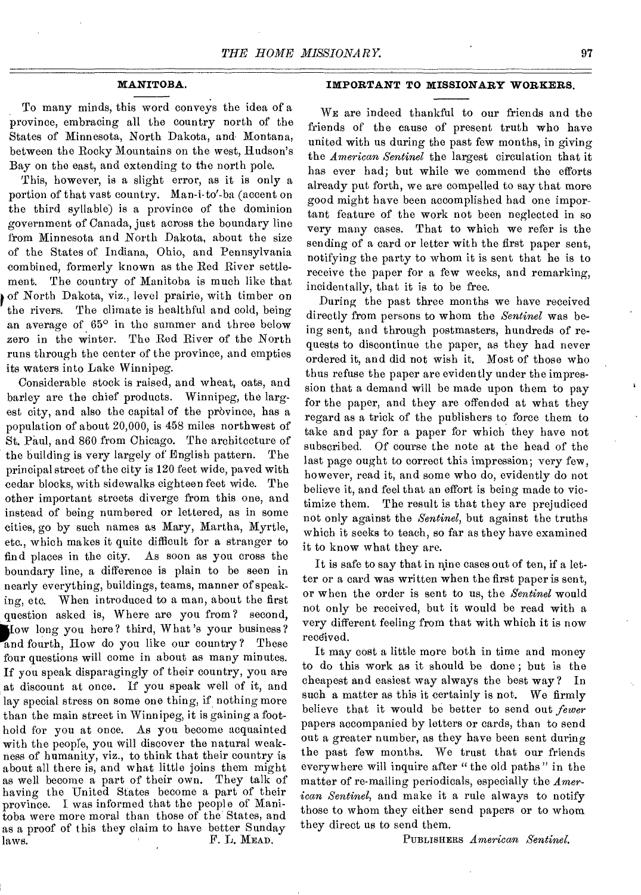To many minds, this word conveys the idea of a province, embracing all the country north of the States of Minnesota, North Dakota, and Montana, between the Rocky Mountains on the west, Hudson's Bay on the east, and extending to the north pole.

This, however, is a slight error, as it is only a portion of that vast country. Man-i-to'-ba (accent on the third syllable) is a province of the dominion government of Canada, just across the boundary line from Minnesota and North Dakota, about the size of the States of Indiana, Ohio, and Pennsylvania combined, formerly known as the Red River settlement. The country of Manitoba is much like that of North Dakota, viz., level prairie, with timber on the rivers. The climate is healthful and cold, being an average of 65° in the summer and three below zero in the winter. The Red River of the North runs through the center of the province, and empties its waters into Lake Winnipeg.

Considerable stock is raised, and wheat, oats, and barley are the chief products. Winnipeg, the largest city, and also the capital of the province, has a population of about 20,000, is 458 miles northwest of St. Paul, and 860 from Chicago. The architecture of the building is very largely of English pattern. The principal street of the city is 120 feet wide, paved with cedar blocks, with sidewalks eighteen feet wide. The other important streets diverge from this one, and instead of being numbered or lettered, as in some cities, go by such names as Mary, Martha, Myrtle, etc., which makes it quite difficult for a stranger to find places in the city. As soon as you cross the boundary line, a difference is plain to be seen in nearly everything, buildings, teams, manner of speaking, etc. When introduced to a man, about the first question asked is, Where are you from? second, dow long you here? third, What's your business?<br>and fourth, How do you like our country? These How long you here? third, What's your business? four questions will come in about as many minutes. If you speak disparagingly of their country, you are at discount at once. If you speak well of it, and lay special stress on some one thing, if nothing more than the main street in Winnipeg, it is gaining a foothold for you at once. As you become acquainted with the people, you will discover the natural weakness of humanity, viz., to think that their country is about all there is, and what little joins them might as well become a part of their own. They talk of having the United States become a part of their province. I was informed that the people of Manitoba were more moral than those of the States, and as a proof of this they claim to have better Sunday laws. **F. L. MEAD.** 

## **MANITOBA. IMPORTANT TO MISSIONARY WORKERS.**

WE are indeed thankful to our friends and the friends of the cause of present truth who have united with us during the past few months, in giving the *American Sentinel* the largest circulation that it has ever bad; but while we commend the efforts already put forth, we are compelled to say that more good might have been accomplished had one impor tant feature of the work not been neglected in so very many cases. That to which we refer is the sending of a card or letter with the first paper sent, notifying the party to whom it is sent that he is to receive the paper for a few weeks, and remarking, incidentally, that it is to be free.

During the past three months we have received directly from persons to whom the *Sentinel* was being sent, and through postmasters, hundreds of requests to discontinue the paper, as they had never ordered it, and did not wish it. Most of those who thus refuse the paper are evidently under the impression that a demand will be made upon them to pay for the paper, and they are offended at what they regard as a trick of the publishers to force them to take and pay for a paper for which they have not subscribed. Of course the note at the head of the last page ought to correct this impression; very few, however, read it, and some who do, evidently do not believe it, and feel that an effort is being made to victimize them. The result is that they are prejudiced not only against the *Sentinel,* but against the truths which it seeks to teach, so far as they have examined it to know what they are.

It is safe to say that in nine cases out of ten, if a letter or a card was written when the first paper is sent, or when the order is sent to us, the *Sentinel* would not only be received, but it would be read with a very different feeling from that with which it is now received.

It may cost a little more both in time and money to do this work as it should be done ; but is the cheapest and easiest way always the best way ? In such a matter as this it certainly is not. We firmly believe that it would be better to send out *fewer*  papers accompanied by letters or cards, than to send out a greater number, as they have been sent during the past few months. We trust that our friends everywhere will inquire after " the old paths " in the matter of re-mailing periodicals, especially the *American Sentinel,* and make it a rule always to notify those to whom they either send papers or to whom they direct us to send them.

PUBLISHERS *American, Sentinel.*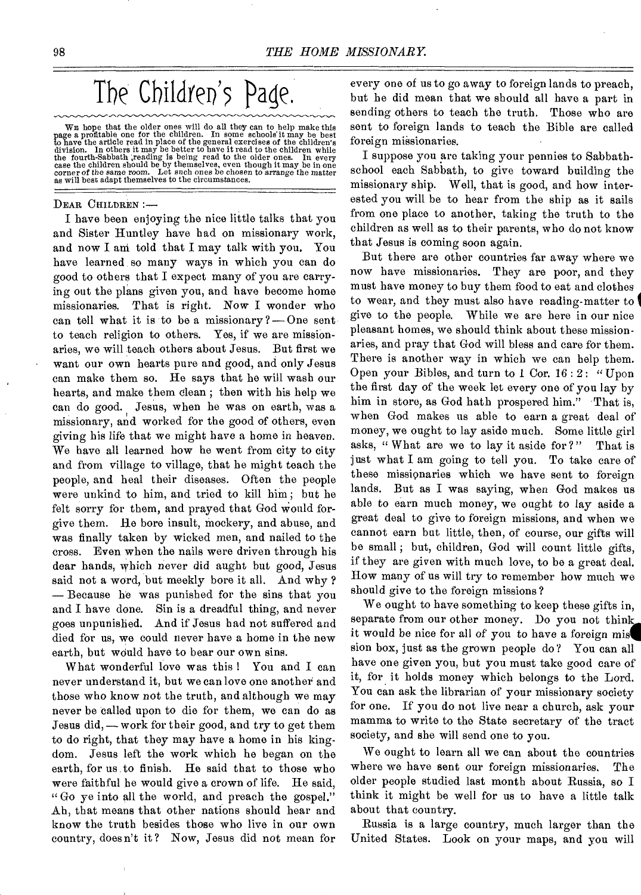The Children's Page.

WE hope that the older ones will do all they can to help make this<br>page a profitable one for the children. In some schools it may be best<br>to have the article read in place of the general exercises of the children's<br>divisi

#### DEAR CHILDREN :—

I have been enjoying the nice little talks that you and Sister Huntley have had on missionary work, and now I am told that I may talk with you. You have learned so many ways in which you can do good to others that I expect many of you are carrying out the plans given you, and have become home missionaries. That is right. Now I wonder who can tell what it is to be a missionary  $?$  — One sent to teach religion to others. Yes, if we are missionaries, we will teach others about Jesus. But first we want our own hearts pure and good, and only Jesus can make them so. He says that he will wash our hearts, and make them clean ; then with his help we can do good. Jesus, when he was on earth, was a missionary, and worked for the good of others, even giving his life that we might have a home in heaven. We have all learned how he went from city to city and from village to village, that he might teach the people, and heal their diseases. Often the people were unkind to him, and tried to kill him ; but he felt sorry for them, and prayed that God Would forgive them. He bore insult, mockery, and abuse, and was finally taken by wicked men, and nailed to the cross. Even when the nails were driven through his dear hands, which never did aught but good, Jesus said not a word, but meekly bore it all. And why ? — Because he was punished for the sins that you and I have done. Sin is a dreadful thing, and never goes unpunished. And if Jesus had not suffered and died for us, we could never have a home in the new earth, but would have to bear our own sins.

What wonderful love was this ! You and I can never understand it, but we can love one another and those who know not the truth, and although we may never be called upon to die for them, we can do as Jesus did, — work for their good, and try to get them to do right, that they may have a home in his kingdom. Jesus left the work which he began on the earth, for us to finish. He said that to those who were faithful be would give a crown of life. He said, " Go ye into all the world, and preach the gospel." Ah, that means that other nations should hear and know the truth besides those who live in our own country, doesn't it? Now, Jesus did not mean for

every one of us to go away to foreign lands to preach, but he did mean that we should all have a part in sending others to teach the truth. Those who are sent to foreign lands to teach the Bible are called foreign missionaries.

I suppose you are taking your pennies to Sabbathschool each Sabbath, to give toward building the missionary ship. Well, that is good, and how interested you will be to hear from the ship as it sails from one place to another, taking the truth to the children as well as to their parents, who do not know that Jesus is coming soon again.

But there are other countries far away where we now have missionaries. They are poor, and they must have money to buy them food to eat and clothes to wear, and they must also have reading-matter to give to the people. While we are here in our nice pleasant homes, we should think about these missionaries, and pray that God will bless and care for them. There is another way in which we can help them. Open your Bibles, and turn to 1 Cor. 16 : 2: "Upon the first day of the week let every one of you lay by him in store, as God hath prospered him." That is, when God makes us able to earn a great deal of money, we ought to lay aside much. Some little girl asks, " What are we to lay it aside for ?" That is just what I am going to tell you. To take care of these missionaries which we have sent to foreign lands. But as I was saying, when God makes us able to earn much money, we ought to lay aside a great deal to give to foreign missions, and when we cannot earn but little, then, of course, our gifts will be small ; but, children, God will count little gifts, if they are given with much love, to be a great deal. How many of us will try to remember how much we should give to the foreign missions ?

We ought to have something to keep these gifts in, separate from our other money. Do you not think it would be nice for all of you to have a foreign mis sion box, just as the grown people do? You can all have one given you, but you must take good care of it, for it holds money which belongs to the Lord. You can ask the librarian of your missionary society for one. If you do not live near a church, ask your mamma to write to the State secretary of the tract society, and she will send one to you.

We ought to learn all we can about the countries where we have sent our foreign missionaries. The older people studied last month about Russia, so I think it might be well for us to have a little talk about that country.

Russia is a large country, much larger than the United States. Look on your maps, and you will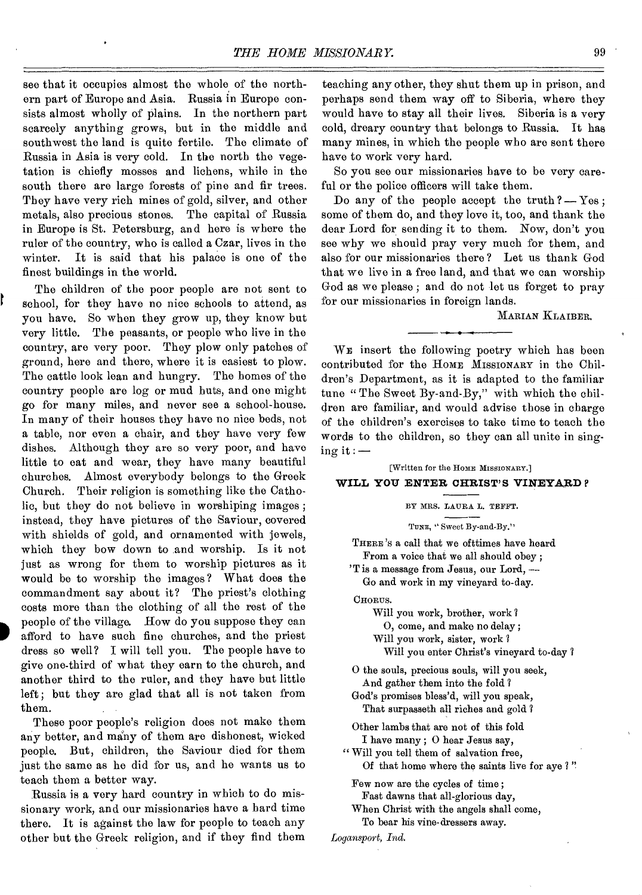see that it occupies almost the whole of the northern part of Europe and Asia. Russia in Europe consists almost wholly of plains. In the northern part scarcely anything grows, but in the middle and southwest the land is quite fertile. The climate of Russia in Asia is very cold. In the north the vegetation is chiefly mosses and lichens, while in the south there are large forests of pine and fir trees. They have very rich mines of gold, silver, and other metals, also precious stones. The capital of Russia in Europe is St. Petersburg, and here is where the ruler of the country, who is called a Czar, lives in the winter. It is said that his palace is one of the finest buildings in the world.

The children of the poor people are not sent to school, for they have no nice schools to attend, as you have. So when they grow up, they know but very little. The peasants, or people who live in the country, are very poor. They plow only patches of ground, here and there, where it is easiest to plow. The cattle look lean and hungry. The homes of the country people are log or mud huts, and one might go for many miles, and never see a school-house. In many of their houses they have no nice beds, not a table, nor even a chair, and they have very few dishes. Although they are so very poor, and have little to eat and wear, they have many beautiful churches. Almost everybody belongs to the Greek Church. Their religion is something like the Catholic, but they do not believe in worshiping images ; instead, they have pictures of the Saviour, covered with shields of gold, and ornamented with jewels, which they bow down to and worship. Is it not just as wrong for them to worship pictures as it would be to worship the images? What does the commandment say about it? The priest's clothing costs more than the clothing of all the rest of the people of the village. How do you suppose they can afford to have such fine churches, and the priest dress so well? I will tell you. The people have to give one-third of what they earn to the church, and another third to the ruler, and they have but little left; but they are glad that all is not taken from them.

These poor people's religion does not make them any better, and many of them are dishonest, wicked people. But, children, the Saviour died for them just the same as he did for us, and he wants us to teach them a better way.

Russia is a very hard country in which to do missionary work, and our missionaries have a hard time there. It is against the law for people to teach any other but the Greek religion, and if they find them

teaching any other, they shut them up in prison, and perhaps send them way off to Siberia, where they would have to stay all their lives. Siberia is a very cold, dreary country that belongs to Russia. It has many mines, in which the people who are sent there have to work very hard.

So you see our missionaries have to be very careful or the police officers will take them.

Do any of the people accept the truth  $? - Yes$ ; some of them do, and they love it, too, and thank the dear Lord for sending it to them. Now, don't you see why we should pray very much for them, and also for our missionaries there ? Let us thank God that we live in a free land, and that we can worship God as we please ; and do not let us forget to pray for our missionaries in foreign lands.

## MARIAN KLAIBER.

WE insert the following poetry which has been contributed for the HoME MISSIONARY in the Children's Department, as it is adapted to the familiar tune "The Sweet By-and-By," with which the children are familiar, and would advise those in charge of the children's exercises to take time to teach the words to the children, so they can all unite in singing it : —

[Written for the HOME MISSIONARY.]

### **WILL YOU ENTER CHRIST'S VINEYARD**

BY MRS. LAURA L. TEFFT.

TUNE, " Sweet By-and-By."

THERE'S a call that we ofttimes have heard From a voice that we all should obey ;

'T is a message from Jesus, our Lord, ---Go and work in my vineyard to-day.

CHORUS.

Will you work, brother, work ?

0, come, and make no delay ;

Will you work, sister, work ?

Will you enter Christ's vineyard to-day ?

0 the souls, precious souls, will you seek, And gather them into the fold ?

God's promises bless'd, will you speak, That surpasseth all riches and gold ?

Other lambs that are not of this fold I have many ; 0 hear Jesus say,

" Will you tell them of salvation free, Of that home where the saints live for aye ?"

Few now are the cycles of time ; Fast dawns that all-glorious day,

When Christ with the angels shall come, To bear his vine-dressers away.

*Logansport, Ind.*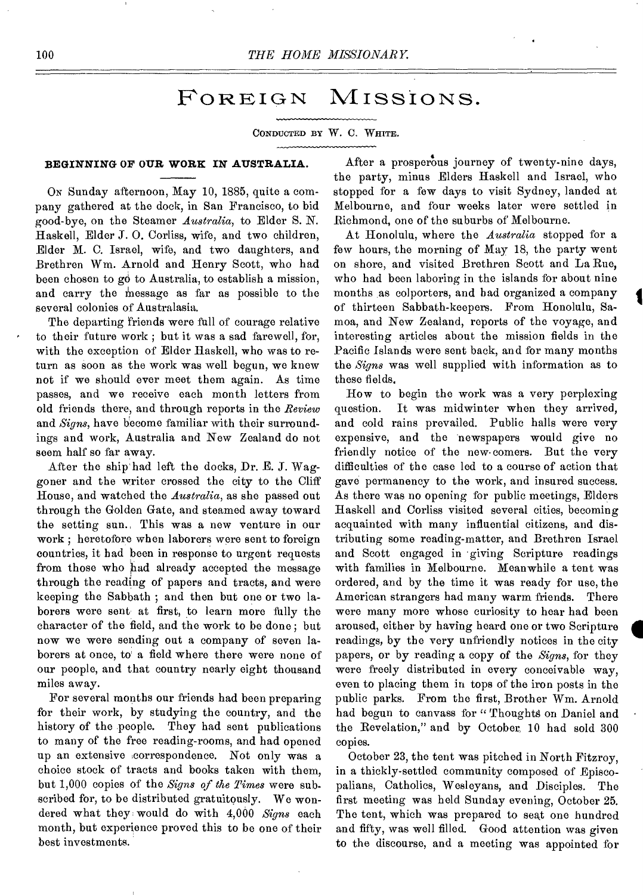## FOREIGN MISSIONS.

CONDUCTED BY W. C. WHITE.

## **BEGINNING OF OUR WORK IN AUSTRALIA.**

ON Sunday afternoon, May 10, 1885, quite a company gathered at the dock, in San Francisco, to bid good-bye, on the Steamer *Australia,* to Elder S. N. Haskell, Elder J. O. Corliss, wife, and two children, Elder M. C. Israel, wife, and two daughters, and Brethren Wm. Arnold and Henry Scott, who had been chosen to go to Australia, to establish a mission, and carry the message as far as possible to the several colonies of Australasia.

The departing friends were full of courage relative to their future work ; but it was a sad farewell, for, with the exception of Elder Haskell, who was to return as soon as the work was well begun, we knew not if we should ever meet them again. As time passes, and we receive each month letters from old friends there, and through reports in the *Review*  and *Signs,* have become familiar with their surroundings and work, Australia and New Zealand do not seem half so far away.

After the ship had left the docks, Dr. E. J. Waggoner and the writer crossed the city to the Cliff House, and watched the *Australia,* as she passed out through the Golden Gate, and steamed away toward the setting sun. This was a new venture in our work ; heretofore when laborers were sent to foreign countries, it had been in response to urgent requests from those who had already accepted the message through the reading of papers and tracts, and were keeping the Sabbath ; and then but one or two laborers were sent at first, to learn more fully the character of the field, and the work to be done ; but now we were sending out a company of seven laborers at once, to a field where there were none of our people, and that country nearly eight thousand miles away.

For several months our friends had been preparing for their work, by studying the country, and the history of the people. They had sent publications to many of the free reading-rooms, and had opened up an extensive ,correspondence. Not only was a choice stock of tracts and books taken with them, but 1,000 copies of the *Signs of the Times* were subscribed for, to be distributed gratuitously. We wondered what they: would do with 4,000 *Signs* each month, but experience proved this to be one of their best investments.

After a prosperous journey of twenty-nine days, the party, minus Elders Haskell and Israel, who stopped for a few days to visit Sydney, landed at Melbourne, and four weeks later were settled in Richmond, one of the suburbs of Melbourne.

At Honolulu, where the *Australia* stopped for a few hours, the morning of May 18, the party went on shore, and visited Brethren Scott and La Rue, who had been laboring in the islands for about nine months as colporters, and bad organized a company of thirteen Sabbath-keepers. From Honolulu, Samoa, and New Zealand, reports of the voyage, and interesting articles about the mission fields in the Pacific Islands were sent back, and for many months the *Signs* was well supplied with information as to these fields.

How to begin the work was a very perplexing question. It was midwinter when they arrived, and cold rains prevailed. Public halls were very expensive, and the newspapers would give no friendly notice of the new-comers. But the very difficulties of the case led to a course of action that gave permanency to the work, and insured success. As there was no opening for public meetings, Elders Haskell and Corliss visited several cities, becoming acquainted with many influential citizens, and distributing some reading-matter, and Brethren Israel and Scott engaged in giving Scripture readings with families in Melbourne. Meanwhile a tent was ordered, and by the time it was ready for use, the American strangers had many warm friends. There were many more whose curiosity to hear had been aroused, either by having heard one or two Scripture readings, by the very unfriendly notices in the city papers, or by reading a copy of the *Signs,* for they were freely distributed in every conceivable way, even to placing them in tops of the iron posts in the public parks. From the first, Brother Wm. Arnold had begun to canvass for "Thoughts on Daniel and the Revelation," and by October, 10 had sold 300 copies.

October 23, the tent was pitched in North Fitzroy, in a thickly-settled community composed of Episcopalians, Catholics, Wesleyans, and Disciples. The first meeting was held Sunday evening, October 25. The tent, which was prepared to seat one hundred and fifty, was well filled. Good attention was given to the discourse, and a meeting was appointed for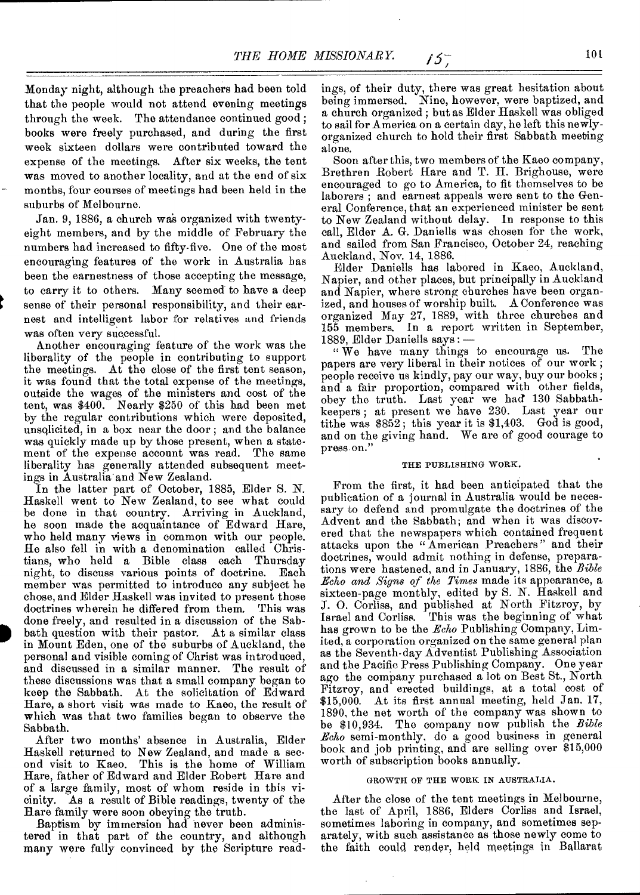Monday night, although the preachers had been told that the people would not attend evening meetings through the week. The attendance continued good ; books were freely purchased, and during the first week sixteen dollars were contributed toward the expense of the meetings. After six weeks, the tent was moved to another locality, and at the end of six months, four courses of meetings had been held in the suburbs of Melbourne.

Jan. 9, 1886, a church was organized with twentyeight members, and by the middle of February the numbers had increased to fifty-five. One of the most encouraging features of the work in Australia has been the earnestness of those accepting the message, to carry it to others. Many seemed' to have a deep sense of their personal responsibility, and their earnest and intelligent labor for relatives and friends was often very successful.

Another encouraging feature of the work was the liberality of the people in contributing to support the meetings. At the close of the first tent season, it was found that the total expense of the meetings, outside the wages of the ministers and cost of the tent, was \$400. Nearly \$250 of this had been met by the regular contributions which were deposited, unsolicited, in a box near the door ; and the balance was quickly made up by those present, when a statement of the expense account was read. The same liberality has generally attended subsequent meetings in Australia' and New Zealand.

In the latter part of October, 1885, Elder S. N. Haskell went to New Zealand, to see what could be done in that country. Arriving in Auckland, he soon made the acquaintance of Edward Hare, who held many views in common with our people. He also fell in with a denomination called Christians, who held a Bible class each Thursday night, to discuss various points of doctrine. Each member was permitted to introduce any subject he chose, and Elder Haskell was invited to present those doctrines wherein he differed from them. This was done freely, and resulted in a discussion of the Sabbath question with their pastor. At a similar class in Mount Eden, one of the suburbs of Auckland, the personal and visible coming of Christ was introduced, and discussed in a similar manner. The result of these discussions was that a small company began to keep the Sabbath. At the solicitation of Edward Hare, a short visit was made to Kaeo, the result of which was that two families began to observe the Sabbath.

p

After two months' absence in Australia, Elder Haskell returned to New Zealand, and made a second visit to Kaeo. This is the home of William Hare, father of Edward and Elder Robert Hare and of a large family, most of whom reside in this vicinity. As a result of Bible readings, twenty of the Hare family were soon obeying the truth.

Baptism by immersion had never been administered in that part of the country, and although many were fully convinced by the Scripture read-

ings, of their duty, there was great hesitation about being immersed. Nine, however, were baptized, and a church organized ; but as Elder Haskell was obliged to sail for America on a certain day, he left this newlyorganized church to hold their first Sabbath meeting alone.

Soon after this, two members of the Kaeo company, Brethren Robert Hare and T. H. Brighouse, were encouraged to go to America, to fit themselves to be laborers; and earnest appeals were sent to the General Conference, that an experienced minister be sent to New Zealand without delay. In response to this call, Elder A. G. Daniells was chosen for the work, and sailed from San Francisco, October 24, reaching Auckland, Nov. 14, 1886.

Elder Daniells has labored in Kaeo, Auckland, Napier, and other places, but principally in Auckland and Napier, where strong churches have been organized, and houses of worship built. A Conference was organized May 27, 1889, with three churches and 155 members. In a report written in September, 1889, Elder Daniells says : —

" We have many things to encourage us. The papers are very liberal in their notices of our work ; people receive us kindly, pay our way, buy our books ; and a fair proportion, compared with other fields, obey the truth. Last year we had 130 Sabbathkeepers ; at present we have 230. Last year our tithe was \$852 ; this year it is \$1,403. God is good, and on the giving hand. We are of good courage to press.on.'

### THE PUBLISHING WORK.

From the first, it had been anticipated that the publication of a journal in Australia would be necessary to defend and promulgate the doctrines of the Advent and the Sabbath; and when it was discovered that the newspapers which contained frequent attacks upon the "American Preachers" and their doctrines, would admit nothing in defense, preparations were hastened, and in January, 1886, the *Bible Echo and Signs of the Times* made its appearance, a sixteen-page monthly, edited by S. N. Haskell and J. 0. Corliss, and published at North Fitzroy, by Israel and Corliss. This was the beginning of what has grown to be the *Echo* Publishing Company, Limited, a corporation organized on the same general plan as the Seventh-day Adventist Publishing Association and the Pacific Press Publishing Company. One year ago the company purchased a lot on Best St., North Fitzroy, and erected buildings, at a total cost of \$15,000. At its first annual meeting, held Jan. 17, 1890, the net worth of the company was shown to be \$10,934. The company now publish the *Bible Echo* semi-monthly, do a good business in general book and job printing, and are selling over \$15,000 worth of subscription books annually.

#### GROWTH OF THE WORK IN AUSTRALIA.

After the close of the tent meetings in Melbourne, the last of April, 1886, Elders Corliss and Israel, sometimes laboring in company, and sometimes separately, with such assistance as those newly come to the faith could render, held meetings in Ballarat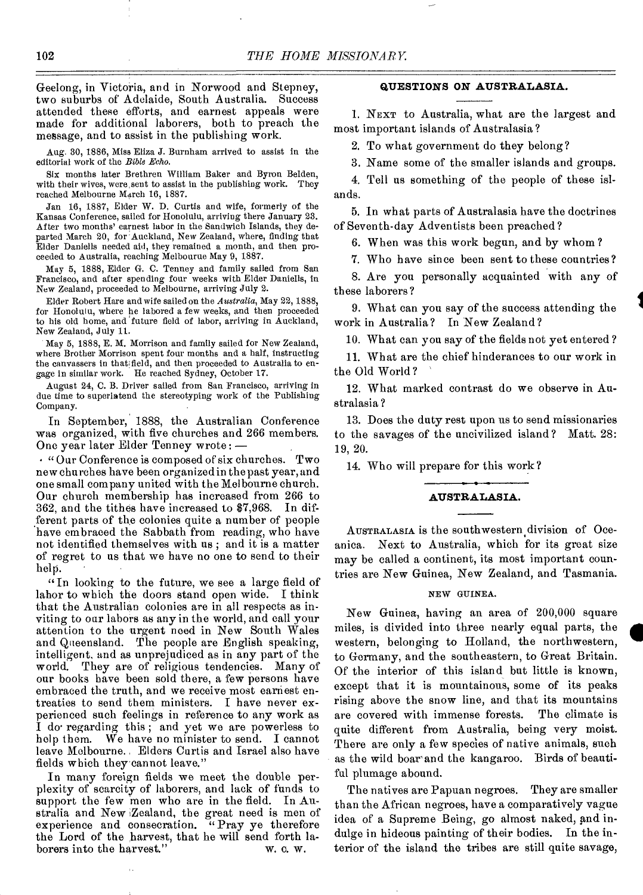Geelong, in Victoria, and in Norwood and Stepney, two suburbs of Adelaide, South Australia. Success attended these efforts, and earnest appeals were made for additional laborers, both to preach the message, and to assist in the publishing work.

Aug. 30, 1886, Miss Eliza J. Burnham arrived to assist in the editorial work of the *Bible Echo.* 

Six months later Brethren William Baker and Byron Belden, with their wives, were sent to assist in the publishing work. They reached Melbourne March 16, 1887.

Jan 16, 1887, Elder W. D. Curtis and wife, formerly of the Kansas Conference, sailed for Honolulu, arriving there January 23. After two months' earnest labor in the Sandwich Islands, they departed March 20, for Auckland, New Zealand, where, finding that Elder Daniells needed aid, they remained a month, and then proceeded to Australia, reaching Melbourne May 9, 1887.

May 5, 1888, Elder G. C. Tenney and family sailed from San Francisco, and after spending four weeks with Elder Daniells, in New Zealand, proceeded to Melbourne, arriving July 2.

Elder Robert Hare and wife sailed on the *Australia,* May 22, 1888, for Honolulu, where he labored a few weeks, and then proceeded to his old home, and future field of labor, arriving in Auckland, New Zealand, July 11.

May 5, 1888, E. M. Morrison and family sailed for New Zealand, where Brother Morrison spent four months and a half, instructing the canvassers in that field, and then proceeded to Australia to engage in similar work. He reached Sydney, October 17.

August 24, C. B. Driver sailed from San Francisco, arriving in due time to superintend the stereotyping work of the Publishing Company.

In September, 1888, the Australian Conference was organized, with five churches and 266 members. One year later Elder Tenney wrote: —

• "Our Conference is composed of six churches. Two new churches have been organized in the past year, and one small company united with the Melbourne church. Our church membership has increased from 266 to 362, and the tithes have increased to \$7,968. In different parts of the colonies quite a number of people have embraced the Sabbath from reading, who have not identified themselves with us ; and it is a matter of regret to us that we have no one to send to their help.

"In looking to the future, we see a large field of labor to which the doors stand open wide. I think that the Australian colonies are in all respects as inviting to our labors as any in the world, and call your attention to the urgent need in New South Wales and Queensland. The people are English speaking, intelligent, and as unprejudiced as in any part of the world. They are of religious tendencies. Many of our books have been sold there, a few persons have embraced the truth, and we receive most earnest entreaties to send them ministers. I have never experienced such feelings in reference to any work as I do° regarding this ; and yet we are powerless to help them. We have no minister to send. I cannot leave Melbourne. Elders Curtis and Israel also have fields which they cannot leave."

In many foreign fields we meet the double perplexity of scarcity of laborers, and lack of funds to support the few men who are in the field. In Australia and New .Zealand, the great need is men of experience and consecration. "Pray ye therefore the Lord of the harvest, that he will send forth laborers into the harvest." W. C. W. borers into the harvest."

### **QUESTIONS ON AUSTRALASIA.**

1. NEXT to Australia, what are the largest and most important islands of Australasia ?

2. To what government do they belong?

3. Name some of the smaller islands and groups. 4. Tell us something of the people of these islands.

5. In what parts of Australasia have the doctrines of Seventh-day Adventists been preached ?

6. When was this work begun, and by whom ?

7. Who have since been sent to these countries?

8. Are you personally acquainted with any of these laborers?

9. What can you say of the success attending the work in Australia? In New Zealand?

10. What can you say of the fields not yet entered ?

11. What are the chief hinderances to our work in the Old World ?

12. What marked contrast do we observe in Australasia ?

13. Does the duty rest upon us to send missionaries to the savages of the uncivilized island? Matt. 28: 19, 20.

14. Who will prepare for this work?

#### **AUSTRALASIA.**

AUSTRALASIA is the southwestern division of Oceanica. Next to Australia, which for its great size may be called a continent, its most important countries are New Guinea, New Zealand, and Tasmania.

#### NEW GUINEA.

New Guinea, having an area of 200,000 square miles, is divided into three nearly equal parts, the western, belonging to Holland, the northwestern, to Germany, and the southeastern, to Great Britain. Of the interior of this island but little is known, except that it is mountainous, some of its peaks rising above the snow line, and that its mountains are covered with immense forests. The climate is quite different from Australia, being very moist. There are only a few species of native animals, such as the wild boar and the kangaroo. Birds of beautiful plumage abound.

The natives are Papuan negroes. They are smaller than the African negroes, have a comparatively vague idea of a Supreme Being, go almost naked, and indulge in hideous painting of their bodies. In the interior of the island the tribes are still quite savage,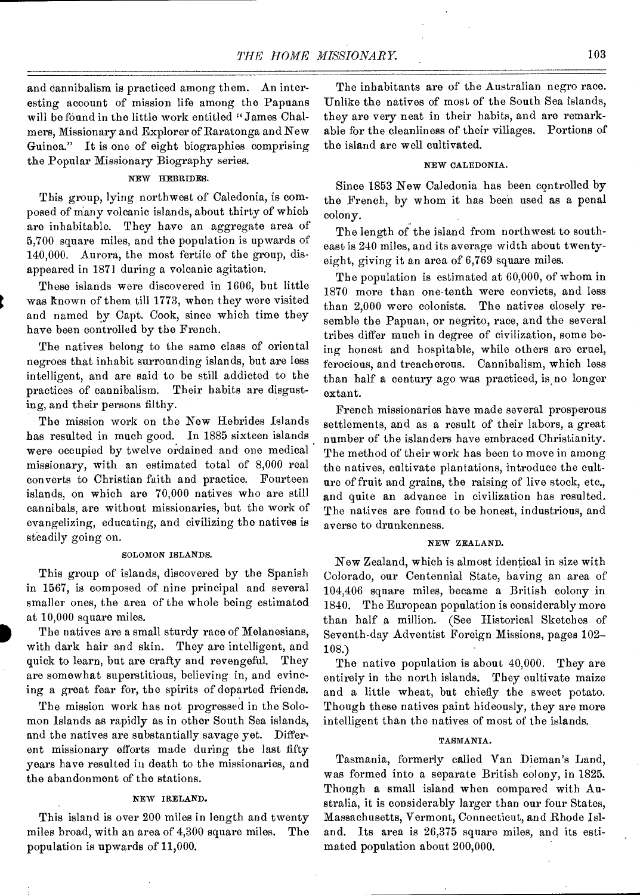and cannibalism is practiced among them. An interesting account of mission life among the Papuans will be found in the little work entitled " James Chalmers, Missionary and Explorer of Raratonga and New Guinea." It is one of eight biographies comprising the Popular Missionary Biography series.

## NEW HEBRIDES.

This group, lying northwest of Caledonia, is composed of many volcanic islands, about thirty of which are inhabitable. They have an aggregate area of 5,700 square miles, and the population is upwards of 140,000. Aurora, the most fertile of the group, disappeared in 1871 during a volcanic agitation.

These islands were discovered in 1606, but little was known of them till 1773, when they were visited and named by Capt. Cook, since which time they have been controlled by the French.

The natives belong to the same class of oriental negroes that inhabit surrounding islands, but are less intelligent, and are said to be still addicted to the practices of cannibalism. Their habits are disgusting, and their persons filthy.

The mission work on the New Hebrides Islands has resulted in much good. In 1885 sixteen islands were occupied by twelve ordained and one medical missionary, with an estimated total of 8,000 real converts to Christian faith and practice. Fourteen islands, on which are 70,000 natives who are still cannibals, are without missionaries, but the work of evangelizing, educating, and civilizing the natives is steadily going on.

#### SOLOMON ISLANDS.

This group of islands, discovered by the Spanish in 1567, is composed of nine principal and several smaller ones, the area of the whole being estimated at 10,000 square miles.

The natives are a small sturdy race of Melanesians, with dark hair and skin. They are intelligent, and quick to learn, but are crafty and revengeful. They are somewhat superstitious, believing in, and evincing a great fear for, the spirits of departed friends.

The mission work has not progressed in the Solomon Islands as rapidly as in other South Sea islands, and the natives are substantially savage yet. Different missionary efforts made during the last fifty years have resulted in death to the missionaries, and the abandonment of the stations.

## NEW IRELAND.

This island is over 200 miles in length and twenty miles broad, with an area of 4,300 square miles. The population is upwards of 11,000.

The inhabitants are of the Australian negro race. Unlike the natives of most of the South Sea islands, they are very neat in their habits, and are remarkable for the cleanliness of their villages. Portions of the island are well cultivated.

### NEW CALEDONIA.

Since 1853 New Caledonia has been controlled by the French, by whom it has been used as a penal colony.

The length of the island from northwest to southeast is 240 miles, and its average width about twentyeight, giving it an area of 6,769 square miles.

The population is estimated at 60,000, of whom in 1870 more than one tenth were convicts, and less than 2,000 were colonists. The natives closely resemble the Papuan, or negrito, race, and the several tribes differ much in degree of civilization, some being honest and hospitable, while others are cruel, ferocious, and treacherous. Cannibalism, which less than half a century ago was practiced, is no longer extant.

French missionaries have made several prosperous settlements, and as a result of their labors, a great number of the islanders have embraced Christianity. The method of their work has been to move in among the natives, cultivate plantations, introduce the culture of fruit and grains, the raising of live stock, etc., and quite an advance in civilization has resulted. The natives are found to be honest, industrious, and averse to drunkenness.

## NEW ZEALAND.

New Zealand, which is almost identical in size with Colorado, our Centennial State, having an area of 104,406 square miles, became a British colony in 1840. The European population is considerably more than half a million. (See Historical Sketches of Seventh-day Adventist Foreign Missions, pages 102- 108.)

The native population is about 40,000. They are entirely in the north islands. They cultivate maize and a little wheat, but chiefly the sweet potato. Though these natives paint hideously, they are more intelligent than the natives of most of the islands.

#### TASMANIA.

Tasmania, formerly called Van Dieman's Land, was formed into a separate British colony, in 1825. Though a small island when compared with Australia, it is considerably larger than our four States, Massachusetts, Vermont, Connecticut, and Rhode Island. Its area is 26,375 square miles, and its estimated population about 200,000.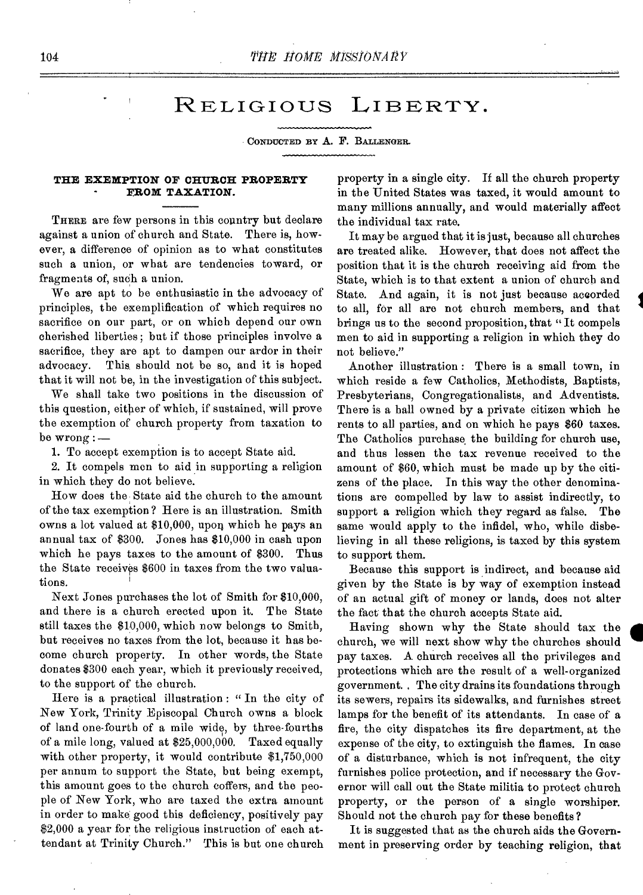## RELIGIOUS LIBERTY.

CONDUCTED BY A. F. BALLENGER.

### **THE EXEMPTION OF CHURCH PROPERTY FROM TAXATION.**

THERE are few persons in this country but declare against a union of church and State. There is, however, a difference of opinion as to what constitutes such a union, or what are tendencies toward, or fragments of, such a union.

We are apt to be enthusiastic in the advocacy of principles, the exemplification of which requires no sacrifice on our part, or on which depend our own cherished liberties ; but if those principles involve a sacrifice, they are apt to dampen our ardor in their advocacy. This should not be so, and it is hoped that it will not be, in the investigation of this subject.

We shall take two positions in the discussion of this question, either of which, if sustained, will prove the exemption of church property from taxation to be  $wrong :=$ 

1. To accept exemption is to accept State aid.

2. It compels men to aid in supporting a religion in which they do not believe.

How does the. State aid the church to the amount of the tax exemption ? Here is an illustration. Smith owns a lot valued at \$10,000, upon which he pays an annual tax of \$300. Jones has \$10,000 in cash upon which he pays taxes to the amount of \$300. Thus the State receives \$600 in taxes from the two valuations.

Next Jones purchases the lot of Smith for \$10,000, and there is a church erected upon it. The State still taxes the \$10,000, which now belongs to Smith, but receives no taxes from the lot, because it has become church property. In other words, the State donates \$300 each year, which it previously received, to the support of the church.

Here is a practical illustration: "In the city of New York, Trinity Episcopal Church owns a block of land one-fourth of a mile wide, by three-fourths of a mile long, valued at \$25,000,000. Taxed equally with other property, it would contribute \$1,750,000 per annum to support the State, but being exempt, this amount goes to the church coffers, and the people of New York, who are taxed the extra amount in order to make good this deficiency, positively pay \$2,000 a year for the religious instruction of each attendant at Trinity Church." This is but one church

property in a single city. If all the church property in the United States was taxed, it would amount to many millions annually, and would materially affect the individual tax rate.

It may be argued that it is just, because all churches are treated alike. However, that does not affect the position that it is the church receiving aid from the State, which is to that extent a union of church and State. And again, it is not just because accorded to all, for all are not church members, and that brings us to the second proposition, that " It compels men to aid in supporting a religion in which they do not believe."

Another illustration : There is a small town, in which reside a few Catholics, Methodists, Baptists, Presbyterians, Congregationalists, and Adventists. There is a hall owned by a private citizen which he rents to all parties, and on which he pays \$60 taxes. The Catholics purchase the building for church use, and thus lessen the tax revenue received to the amount of \$60, which must be made up by the citizens of the place. In this way the other denominations are compelled by law to assist indirectly, to support a religion which they regard as false. The same would apply to the infidel, who, while disbelieving in all these religions, is taxed by this system to support them.

Because this support is indirect, and because aid given by the State is by way of exemption instead of an actual gift of money or lands, does not alter the fact that the church accepts State aid.

Having shown why the State should tax the church, we will next show why the churches should pay taxes. A church receives all the privileges and protections which are the result of a well-organized government. The city drains its foundations through its sewers, repairs its sidewalks, and furnishes street lamps for the benefit of its attendants. In case of a fire, the city dispatches its fire department, at the expense of the city, to extinguish the flames. In case of a disturbance, which is not infrequent, the city furnishes police protection, and if necessary the Governor will call out the State militia to protect church property, or the person of a single worshiper. Should not the church pay for these benefits?

It is suggested that as the church aids the Government in preserving order by teaching religion, that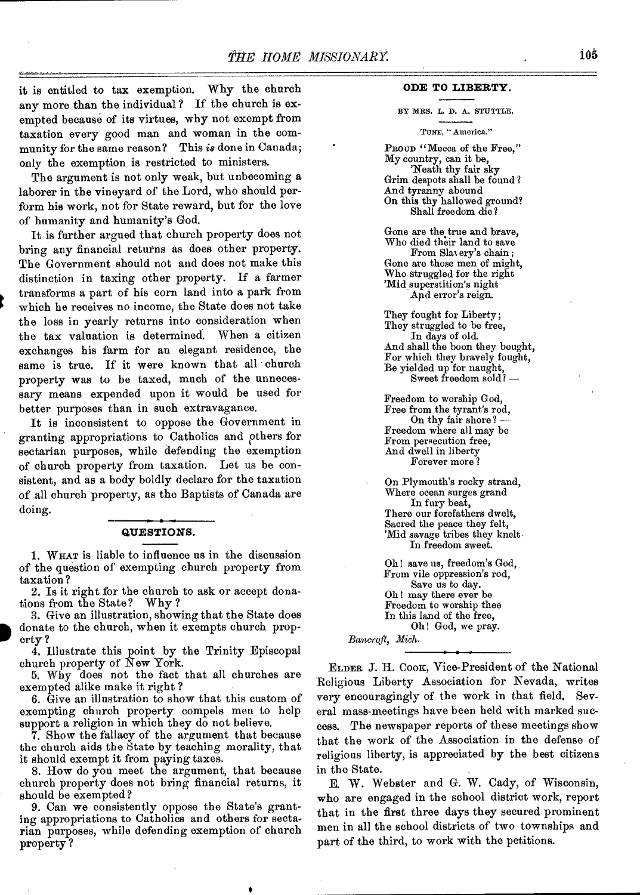it is entitled to tax exemption. Why the church any more than the individual? If the church is exempted because of its virtues, why not exempt from taxation every good man and woman in the community for the same reason? This *is* done in Canada; only the exemption is restricted to ministers.

The argument is not only weak, but unbecoming a laborer in the vineyard of the Lord, who should perform his work, not for State reward, but for the love of humanity and humanity's God.

It is further argued that church property does not bring any financial returns as does other property. The Government should not and does not make this distinction in taxing other property. If a farmer transforms a part of his corn land into a park from which he receives no income, the State does not take the loss in yearly returns into consideration when the tax valuation is determined. When a citizen exchanges his farm for an elegant residence, the same is true. If it were known that all church property was to be taxed, much of the unnecessary means expended upon it would be used for better purposes than in such extravagance.

It is inconsistent to oppose the Government in granting appropriations to Catholics and ethers for sectarian purposes, while defending the exemption of church property from taxation. Let us be consistent, and as a body boldly declare for the taxation of all church property, as the Baptists of Canada are doing.

#### **QUESTIONS.**

1. WHAT is liable to influence us in the discussion of the question of exempting church property from taxation ?

2. Is it right for the church to ask or accept donations from the State? Why ?

3. Give an illustration, showing that the State does donate to the church, when it exempts church property ?

4. Illustrate this point by the Trinity Episcopal church property of New York.

5. Why does not the fact that all churches are exempted alike make it right ?

6. Give an illustration to show that this custom of exempting church property compels men to help support a religion in which they do not believe.

7. Show the fallacy of the argument that because the church aids the State by teaching morality, that it should exempt it from paying taxes.

8. How do you meet the argument, that because church property does not bring financial returns, it should be exempted?

9. Can we consistently oppose the State's granting appropriations to Catholics and others for sectarian purposes, while defending exemption of church property ?

#### **ODE TO LIBERTY.**

BY MRS. L. D. A. STUTTLE.

#### TUNE, "America."

PROUD "Mecca of the Free," My country, can it be, 'Neath thy fair sky Grim despots shall be found ? And tyranny abound On this thy hallowed ground? Shall freedom die?

Gone are the true and brave, Who died their land to save From Slas erg's chain ; Gone are those men of might, Who struggled for the right 'Mid\_ superstition's night And error's reign.

They fought for Liberty; They struggled to be free, In days of old. And shall the boon they bought, For which they bravely fought, Be yielded up for naught, Sweet freedom sold? —

Freedom to worship God, Free from the tyrant's rod, On thy fair shore? -Freedom where all may be From persecution free, And dwell in liberty Forever more ?

On Plymouth's rocky strand, Where ocean surges grand In fury beat, There our forefathers dwelt, Sacred the peace they felt, 'Mid savage tribes they knelt. In freedom sweet.

Oh ! save us, freedom's God, From vile oppression's rod, Save us to day. Oh! may there ever be Freedom to worship thee In this land of the free, Oh! God, we pray.

Bancroft, Mich.

ELDER J. H. Coox, Vice-President of the National Religious Liberty Association for Nevada, writes very encouragingly of the work in that field. Several mass-meetings have been held with marked success. The newspaper reports of these meetings show that the work of the Association in the defense of religious liberty, is appreciated by the best citizens in the State.

E. W. Webster and G. W. Cady, of Wisconsin, who are engaged in the school district work, report that in the first three days they secured prominent men in all the school districts of two townships and part of the third, to work with the petitions.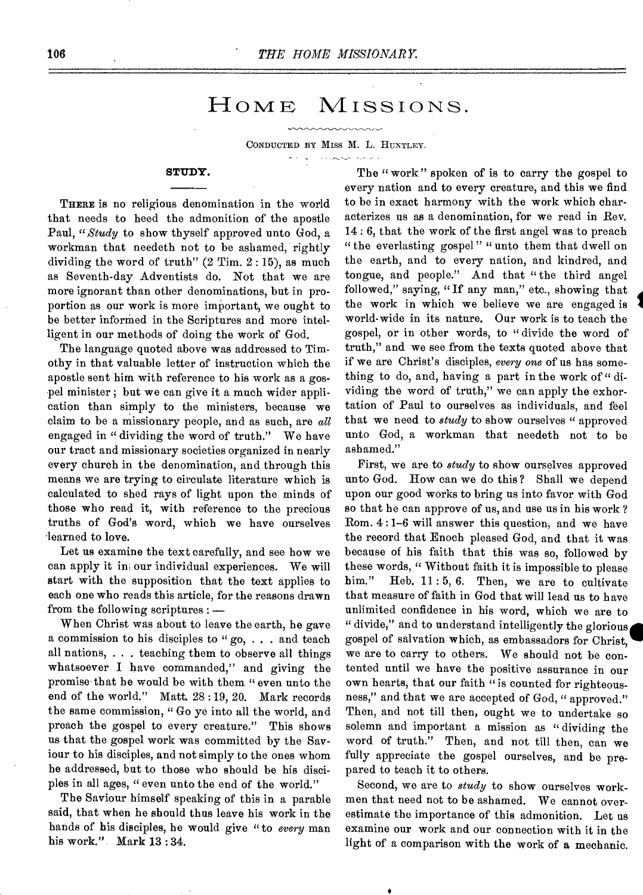## HOME MISSIONS.

CONDUCTED BY MISS M. **L.** HUNTLEY,

### **STUDY.**

THERE is no religious denomination in the world that needs to heed the admonition of the apostle Paul, *"Study* to show thyself approved unto God, a workman that needeth not to be ashamed, rightly dividing the word of truth" (2 Tim. 2 : 15), as much as Seventh-day Adventists do. Not that we are more ignorant than other denominations, but in proportion as our work is more important, we ought to be better informed in the Scriptures and more intelligent in our methods of doing the work of God.

The language quoted above was addressed to Timothy in that valuable letter of instruction which the apostle sent him with reference to his work as a gospel minister ; but we can give it a much wider application than simply to the ministers, because we claim to be a missionary people, and as such, are *all*  engaged in " dividing the word of truth." Wo have our tract and missionary societies organized in nearly every church in the denomination, and through this means we are trying to circulate literature which is calculated to shed rays of light upon the minds of those who read it, with reference to the precious truths of God's word, which we have ourselves 'learned to love.

Let us examine the text carefully, and see how we can apply it in our individual experiences. We will start with the supposition that the text applies to each one who reads this article, for the reasons drawn from the following scriptures : —

When Christ was about to leave the earth, he gave a commission to his disciples to " go, . . . and teach all nations, . . . teaching them to observe all things whatsoever I have commanded," and giving the promise that he would be with them " even unto the end of the world." Matt. 28 :19, 20. Mark records the same commission, " Go ye into all the world, and preach the gospel to every creature." This shows us that the gospel work was committed by the Saviour to his disciples, and not simply to the ones whom he addressed, but to those who should be his disciples in all ages, " even unto the end of the world."

The Saviour himself speaking of this in a parable said, that when he should thus leave his work in the hands of his disciples, he would give " to *every* man his work." Mark 13 : 34.

The "work" spoken of is to carry the gospel to every nation and to every creature, and this we find to be in exact harmony with the work which characterizes us as a denomination, for we read in Rev. 14 : 6, that the work of the first angel was to preach "the everlasting gospel" "unto them that dwell on the earth, and to every nation, and kindred, and tongue, and people." And that "the third angel followed," saying, "If any man," etc., showing that the work in which we believe we are engaged is world-wide in its nature. Our work is to teach the gospel, or in other words, to " divide the word of truth," and we see from the texts quoted above that if we are Christ's disciples, *every one* of us has something to do, and, having a part in the work of "dividing the word of truth," we can apply the exhortation of Paul to ourselves as individuals, and feel that we need to *study* to show ourselves " approved unto God, a workman that needeth not to be ashamed."

First, we are to *study* to show ourselves approved unto God. How can we do this? Shall we depend upon our good works to bring us into favor with God so that he can approve of us, and use us in his work ? Rom. 4 :1-6 will answer this question, and we have the record that Enoch pleased God, and that it was because of his faith that this was so, followed by these words, " Without faith it is impossible to please him." Heb. 11 : 5, 6. Then, we are to cultivate that measure of faith in God that will lead us to have unlimited confidence in his word, which we are to " divide," and to understand intelligently the glorious gospel of salvation which, as embassadors for Christ, we are to carry to others. We should not be contented until we have the positive assurance in our own hearts, that our faith " is counted for righteousness," and that we are accepted of God, " approved." Then, and not till then, ought we to undertake so solemn and important a mission as "dividing the word of truth." Then, and not till then, can we fully appreciate the gospel ourselves, and be prepared to teach it to others.

Second, we are to *study* to show ourselves workmen that need not to be ashamed. We cannot overestimate the importance of this admonition. Let us examine our work and our connection with it in the light of a comparison with the work of a mechanic.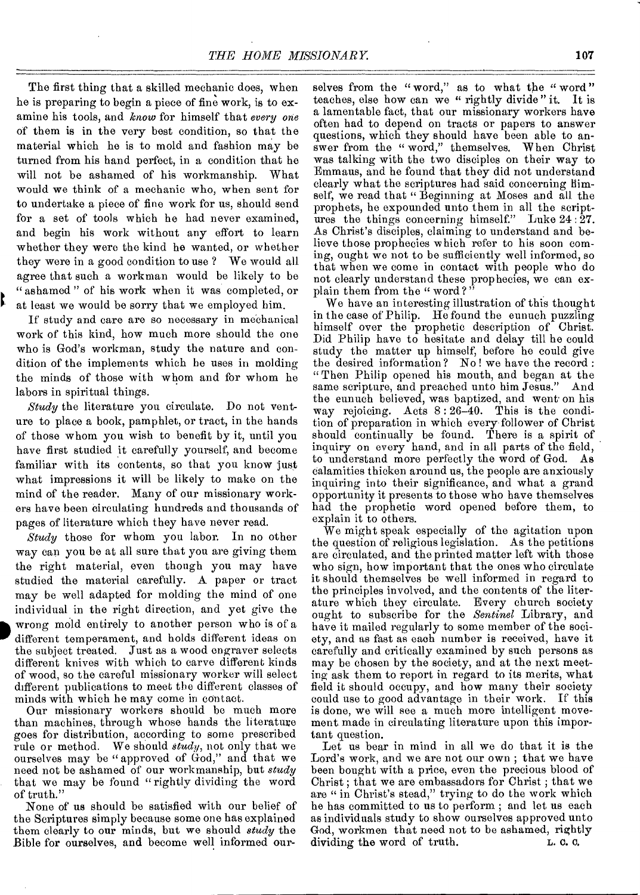The first thing that a skilled mechanic does, when he is preparing to begin a piece of fine work, is to examine his tools, and *know* for himself that *every one*  of them is in the very best condition, so that the material which he is to mold and fashion may be turned from his hand perfect, in a condition that he will not be ashamed of his workmanship. What would we think of a mechanic who, when sent for to undertake a piece of fine work for us, should send for a set of tools which he had never examined, and begin his work without any effort to learn whether they were the kind he wanted, or whether they were in a good condition to use ? We would all agree that such a workman would be likely to be " ashamed " of his work when it was completed, or at least we would be sorry that we employed him.

If study and care are so necessary in mechanical work of this kind, how much more should the one who is God's workman, study the nature and condition of the implements which he uses in molding the minds of those with whom and for whom he labors in spiritual things.

₿

*Study* the literature you circulate. Do not venture to place a book, pamphlet, or tract, in the hands of those whom you wish to benefit by it, until you have first studied it carefully yourself, and become familiar with its contents, so that you know just what impressions it will be likely to make on the mind of the reader. Many of our missionary workers have been circulating hundreds and thousands of pages of literature which they have never read.

*Study* those for whom you labor. In no other way can you be at all sure that you are giving them the right material, even though you may have studied the material carefully. A paper or tract may be well adapted for molding the mind of one individual in the right direction, and yet give the wrong mold entirely to another person who is of a different temperament, and holds different ideas on the subject treated. Just as a wood engraver selects different knives with which to carve different kinds of wood, so the careful missionary worker will select different publications to meet the different classes of minds with which he may come in contact.

Our missionary workers should be much more than machines, through whose hands the literature goes for distribution, according to some prescribed rule or method. We should *study,* not only that we ourselves may be " approved of God," and that we need not be ashamed of our workmanship, but *study*  that we may be found " rightly dividing the word of truth."

None of us should be satisfied with our belief of the Scriptures simply because some one has explained them clearly to our minds, but we should *study* the Bible for ourselves, and become well informed ourselves from the "word," as to what the "word" teaches, else how can we " rightly divide " it. It is a lamentable fact, that our missionary workers have often had to depend on tracts or papers to answer questions, which they should have been able to answer from the " word," themselves. When Christ was talking with the two disciples on their way to Emmaus, and he found that they did not understand clearly what the scriptures had said concerning Himself, we read that " Beginning at Moses and all the prophets, he expounded unto them in all the scriptures the things concerning himself." Luke 24: 27. As Christ's disciples, claiming to understand and believe those prophecies which refer to his soon coming, ought we not to be sufficiently well informed, so that when we come in contact with people who do not clearly understand these prophecies, we can explain them from the " word?"

We have an interesting illustration of this thought in the case of Philip. He found the eunuch puzzling himself over the prophetic description of Christ. Did Philip have to hesitate and delay till he could study the matter up himself, before he could give the desired information ? No ! we have the record : " Then Philip opened his mouth, and began at the same scripture, and preached unto him Jesus." And the eunuch believed, was baptized, and went on his way rejoicing. Acts 8: 26-40. This is the condition of preparation in which every follower of Christ should continually be found. There is a spirit of inquiry on every hand, and in all parts of the field, to understand more perfectly the word of God. As calamities thicken around us, the people are anxiously inquiring into their significance, and what a grand opportunity it presents to those who have themselves had the prophetic word opened before them, to explain it to others.

We might speak especially of the agitation upon the question of religious legislation. As the petitions are circulated, and the printed matter left with those who sign, how important that the ones who circulate it should themselves be well informed in regard to the principles involved, and the contents of the literature which they circulate. Every church society ought to subscribe for the *Sentinel* Library, and have it mailed regularly to some member of the society, and as fast as each number is received, have it carefully and critically examined by such persons as may be chosen by the society, and at the next meeting ask them to report in regard to its merits, what field it should occupy, and how many their society could use to good advantage in their work. If this is done, we will see a much more intelligent movement made in circulating literature upon this important question.

Let us bear in mind in all we do that it is the Lord's work, and we are not our own ; that we have been bought with a price, even the precious blood of Christ ; that we are embassadors for Christ ; that we are " in Christ's stead," trying to do the work which he has committed to us to perform ; and let us each as individuals study to show ourselves approved unto God, workmen that need not to be ashamed, rightly dividing the word of truth.  $\therefore$  c.c. dividing the word of truth.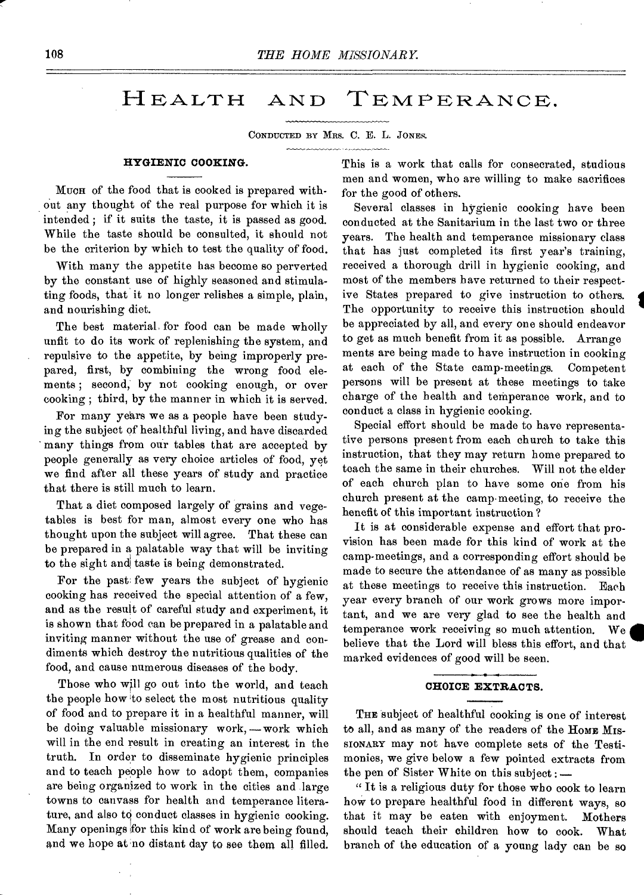## HEALTH AND TEMPERANCE.

CONDUCTED BY MRS. C. E. L. JONES.

#### 

## **HYGIENIC COOKING.**

MUCH of the food that is cooked is prepared without any thought of the real purpose for which it is intended ; if it suits the taste, it is passed as good. While the taste should be consulted, it should not be the criterion by which to test the quality of food.

With many the appetite has become so perverted by the constant use of highly seasoned and stimulating foods, that it no longer relishes a simple, plain, and nourishing diet.

The best material for food can be made wholly unfit to do its work of replenishing the system, and repulsive to the appetite, by being improperly prepared, first, by combining the wrong food elements ; second, by not cooking enough, or over cooking ; third, by the manner in which it is served.

For many years we as a people have been studying the subject of healthful living, and have discarded many things from our tables that are accepted by people generally as very choice articles of food, yet we find after all these years of study and practice that there is still much to learn.

That a diet composed largely of grains and vegetables is best for man, almost every one who has thought upon the subject will agree. That these can be prepared in a palatable way that will be inviting to the sight and taste is being demonstrated.

For the past; few years the subject of hygienic cooking has received the special attention of a few, and as the result of careful study and experiment, it is shown that food can be prepared in a palatable and inviting manner without the use of grease and condiments which destroy the nutritious qualities of the food, and cause numerous diseases of the body.

Those who will go out into the world, and teach the people how to select the most nutritious quality of food and to prepare it in a healthful manner, will be doing valuable missionary work, —work which will in the end result in creating an interest in the truth. In order to disseminate hygienic principles and to teach people how to adopt them, companies are being organized to work in the cities and large towns to canvass for health and temperance literature, and also to conduct classes in hygienic cooking. Many openings for this kind of work are being found, and we hope at no distant day to see them all filled.

This is a work that calls for consecrated, studious men and women, who are willing to make sacrifices for the good of others.

Several classes in hygienic cooking have been conducted at the Sanitarium in the last two or three years. The health and temperance missionary class that has just completed its first year's training, received a thorough drill in hygienic cooking, and most of the members have returned to their respective States prepared to give instruction to others. The opportunity to receive this instruction should be appreciated by all, and every one should endeavor to get as much benefit from it as possible. Arrange ments are being made to have instruction in cooking at each of the State camp-meetings. Competent persons will be present at these meetings to take charge of the health and temperance work, and to conduct a class in hygienic cooking.

I

Special effort should be made to have representative persons present from each church to take this instruction, that they may return home prepared to teach the same in their churches. Will not the elder of each church plan to have some one from his church present at the camp•meeting, to receive the benefit of this important instruction ?

It is at considerable expense and effort that provision has been made for this kind of work at the camp-meetings, and a corresponding effort should be made to secure the attendance of as many as possible at these meetings to receive this instruction. Each year every branch of our work grows more important, and we are very glad to see the health and temperance work receiving so much attention. We believe that the Lord will bless this effort, and that marked evidences of good will be seen.

#### **CHOICE EXTRACTS.**

THE subject of healthful cooking is one of interest to all, and as many of the readers of the HOME MIS-SIONARY may not have complete sets of the Testimonies, we give below a few pointed extracts from the pen of Sister White on this subject : —

" It is a religious duty for those who cook to learn how to prepare healthful food in different ways, so that it may be eaten with enjoyment. Mothers should teach their children how to cook. What branch of the education of a young lady can be so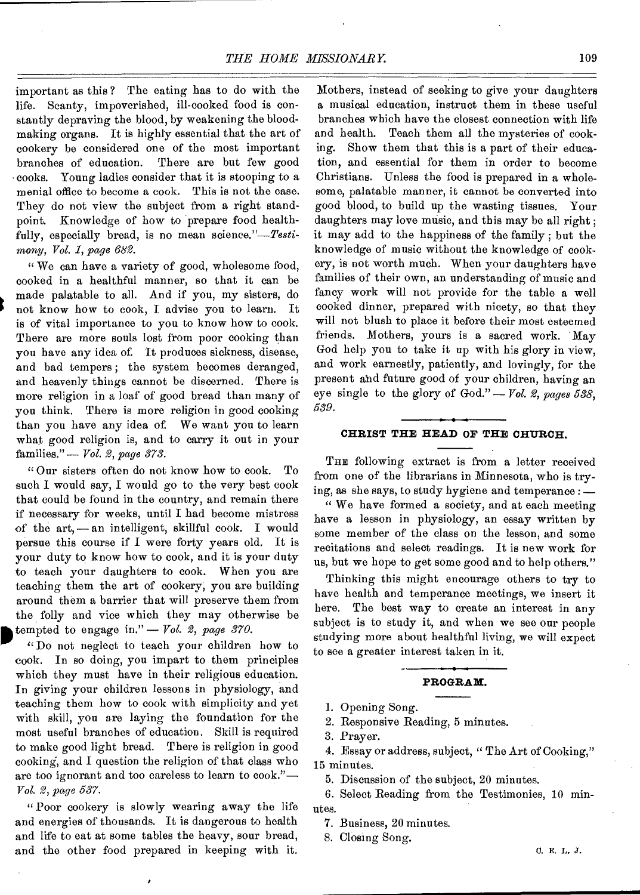important as this ? The eating has to do with the life. Scanty, impoverished, ill-cooked food is constantly depraving the blood, by weakening the bloodmaking organs. It is highly essential that the art of cookery be considered one of the most important branches of education. There are but few good •cooks. Young ladies consider that it is stooping to a menial office to become a cook. This is not the case. They do not view the subject from a right standpoint. Knowledge of how to prepare food healthfully, especially bread, is no mean *science."—Testimony, Vol. 1, page 682.* 

" We can have a variety of good, wholesome food, cooked in a healthful manner, so that it can be made palatable to all. And if you, my sisters, do not know how to cook, I advise you to learn. It is of vital importance to you to know how to cook. There are more souls lost from poor cooking than you have any idea of. It produces sickness, disease, and bad tempers ; the system becomes deranged, and heavenly things cannot be discerned. There is more religion in a loaf of good bread than many of you think. There is more religion in good cooking than you have any idea of. We want you to learn what good religion is, and to carry it out in your families." — *Vol. 2, page 373.* 

"Our sisters often do not know how to cook. To such I would say, I would go to the very best cook that could be found in the country, and remain there if necessary for weeks, until I had become mistress of the art, — an intelligent, skillful cook. I would persue this course if I were forty years old. It is your duty to know how to cook, and it is your duty to teach your daughters to cook. When you are teaching them the art of cookery; you are building around them a barrier that will preserve them from the folly and vice which they may otherwise be tempted to engage in."  $-$  Vol. 2, page 370.<br>"Do not neglect to teach your children how to tempted to engage in." — *Vol. 2, page 370.* 

cook. In so doing, you impart to them principles which they must have in their religious education. In giving your children lessons in physiology, and teaching them how to cook with simplicity and yet with skill, you are laying the foundation for the most useful branches of education. Skill is required to make good light bread. There is religion in good cooking, and I question the religion of that class who are too ignorant and too careless to learn to cook."— *Vol. 2, page 537.* 

"Poor cookery is slowly wearing away the life and energies of thousands. It is dangerous to health and life to eat at some tables the heavy, sour bread, and the other food prepared in keeping with it.

Mothers, instead of seeking to give your daughters a musical education, instruct them in these useful branches which have the closest connection with life and health. Teach them all the mysteries of cooking. Show them that this is a part of their education, and essential for them in order to become Christians. Unless the food is prepared in a wholesome, palatable manner, it cannot be converted into good blood, to build up the wasting tissues. Your daughters may love music, and this may be all right; it may add to the happiness of the family ; but the knowledge of music without the knowledge of cookery, is not worth much. When your daughters have families of their own, an understanding of music and fancy work will not provide for the table a well cooked dinner, prepared with nicety, so that they will not blush to place it before their most esteemed friends. Mothers, yours is a sacred work. May God help you to take it up with his glory in view, and work earnestly, patiently, and lovingly, for the present aid future good of your children, having an eye single to the glory of God." — *Vol. 2, pages 538, 539.* 

## **CHRIST THE HEAD OF THE CHURCH.**

THE following extract is from a letter received from one of the librarians in Minnesota, who is trying, as she says, to study hygiene and temperance : —

" We have formed a society, and at each meeting have a lesson in physiology, an essay written by some member of the class on the lesson, and some recitations and select readings. It is new work for us, but we hope to get some good and to help others."

Thinking this might encourage others to try to have health and temperance meetings, we insert it here. The best way to create an interest in any subject is to study it, and when we see our people studying more about healthful living, we will expect to see a greater interest taken in it.

### **PROGRAM.**

1. Opening Song.

2. Responsive Reading, 5 minutes.

3. Prayer.

4. Essay or address, subject, " The Art of Cooking," 15 minutes.

5. Discussion of the subject, 20 minutes.

6. Select Reading from the Testimonies, 10 minutes.

7. Business, 20 minutes.

8. Closing Song.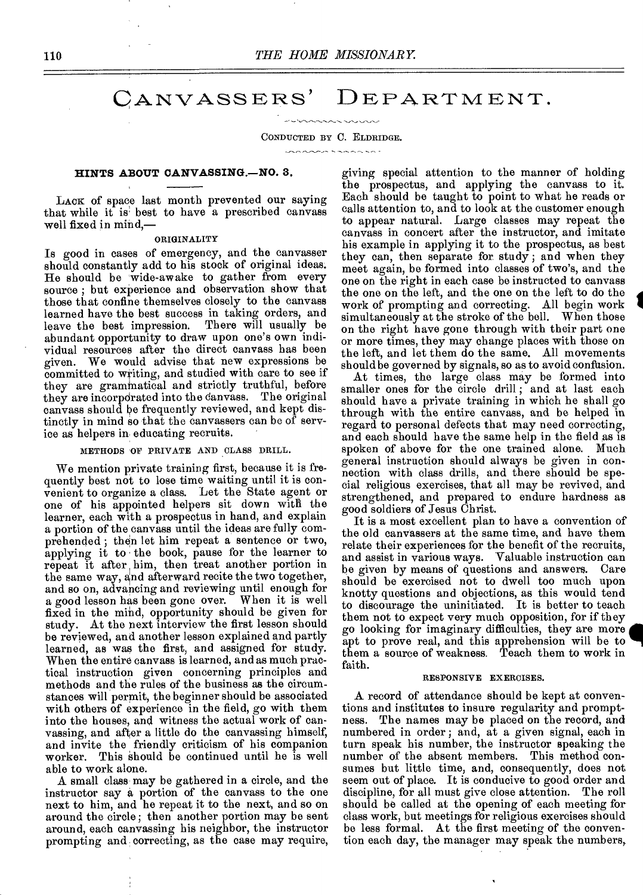## CANVASSERS' DEPARTMENT.

#### CONDUCTED BY C. ELDRIDGE.

 $\sim$ 

#### **HINTS ABOUT OANVASSING.—NO.** 3.

LACK of space last month prevented our saying that while it is best to have a prescribed canvass well fixed in mind,—

#### ORIGINALITY

Is good in cases of emergency, and the canvasser should constantly add to his stock of original ideas. He should be wide-awake to gather from every source ; but experience and observation show that those that confine themselves closely to the canvass learned have the best success in taking orders, and<br>leave the best impression. There will usually be leave the best impression. abundant opportunity to draw upon one's own individual resources after the direct canvass has been given. We would advise that new expressions be committed to writing, and studied with care to see if they are gramtnatical and strictly truthful, before they are incorpdrated into the Canvass. The original canvass should be frequently reviewed, and kept distinctly in mind so that the canvassers can be of service as helpers in• educating recruits.

METHODS OF PRIVATE AND CLASS DRILL.

We mention private training first, because it is frequently best not to lose time waiting until it is convenient to organize a class. Let the State agent or one of his appointed helpers sit down with the learner, each with a prospectus in hand, and explain a portion of the canvass until the ideas are fully comprehended ; then let him repeat a sentence or two, applying it to the book, pause for the learner to repeat it after him, then treat another portion in the same way, and afterward recite the two together, and so on, advancing and reviewing until enough for a good lesson has been gone over. When it is well fixed in the mind, opportunity should be given for study. At the next interview the first lesson should be reviewed, and another lesson explained and partly learned, as was the first, and assigned for study. When the entire canvass is learned, and as much practical instruction given concerning principles and methods and the rules of the business as the circumstances will permit, the beginner should be associated with others of experience in the field, go with them into the houses, and witness the actual work of canvassing, and after a little do the canvassing himself, and invite the friendly criticism of his companion worker. This should be continued until he is well able to work alone.

A small class may be gathered in a circle, and the instructor say a portion of the canvass to the one next to him, and he repeat it to the next, and so on around the circle ; then another portion may be sent around, each canvassing his neighbor, the instructor prompting and correcting, as the case may require, giving special attention to the manner of holding the prospectus, and applying the canvass to it. Each should be taught to point to what he reads or calls attention to, and to look at the customer enough to appear natural. Large classes may repeat the canvass in concert after the instructor, and imitate his example in applying it to the prospectus, as best they can, then separate for. study ; and when they meet again, be formed into classes of two's, and the one on the right in each case be instructed to canvass the one on the left, and the one on the left to do the work of prompting and correcting. All begin work simultaneously at the stroke of the bell. When those on the right have gone through with their part one or more times, they may change places with those on the left, and let them do the same. All movements should be governed by signals, so as to avoid confusion.

At times, the large class may be formed into smaller ones for the circle drill ; and at last each should have a private training in which he shall go through with the entire canvass, and be helped in regard to personal defects that may need correcting, and each should have the same help in the field as is spoken of above for the one trained alone. Much general instruction should always be given in connection with class drills, and there should be special religious exercises, that all may be revived, and strengthened, and prepared to endure hardness as good soldiers of Jesus Christ.

It is a most excellent plan to have a convention of the old canvassers at the same time, and have them relate their experiences for the benefit of the recruits, and assist in various ways. Valuable instruction can be given by means of questions and answers. Care should be exercised not to dwell too much upon knotty questions and objections, as this would tend to discourage the uninitiated. It is better to teach them not to expect very much opposition, for if they go looking for imaginary difficulties, they are more **di**  apt to prove real, and this apprehension will be to them a source of weakness. Teach them to work in faith.

#### RESPONSIVE EXERCISES.

A record of attendance should be kept at conventions and institutes to insure regularity and promptness. The names may be placed on the record, and numbered in order ; and, at a given signal, each in turn speak his number, the instructor speaking the number of the absent members. This method consumes but little time, and, consequently, does not seem out of place. It is conducive to good order and discipline, for all must give close attention. The roll should be called at the opening of each meeting for class work, but meetings for religious exercises should be less formal. At the first meeting of the convention each day, the manager may speak the numbers,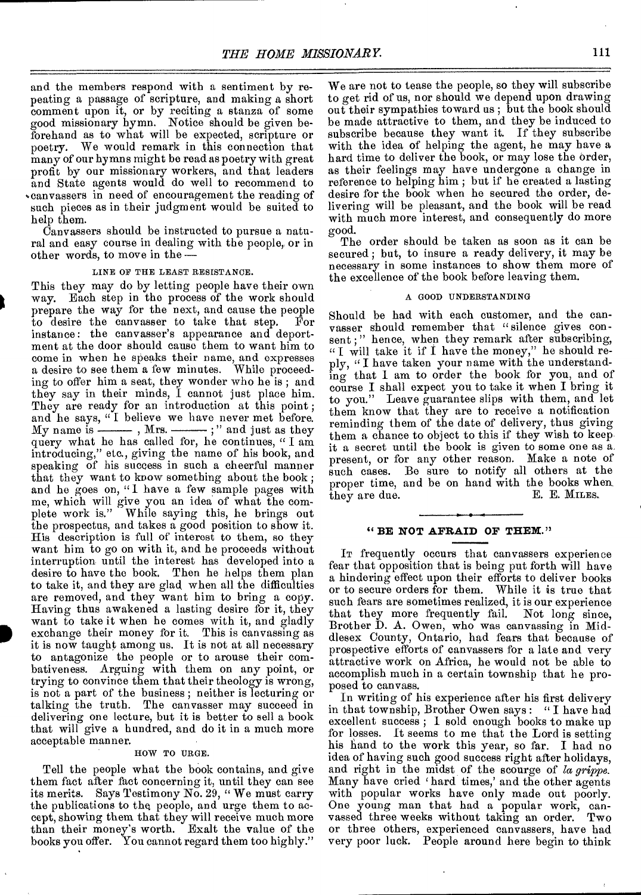and the members respond with a sentiment by repeating a passage of scripture, and making a short comment upon it, or by reciting a stanza of some good missionary hymn. Notice should be given beforehand as to what will be expected, scripture or poetry. We would remark in this connection that many of our hymns might be read as poetry with great profit by our missionary workers, and that leaders and State agents would do well to recommend to •canvassers in need of encouragement the reading of such pieces as in their judgment would be suited to help them.

Canvassers should be instructed to pursue a natu-<br>ral and easy course in dealing with the people, or in<br>other words, to move in the --ral and easy course in dealing with the people, or in other words, to move in the --

#### LINE OF THE LEAST RESISTANCE.

This they may do by letting people have their own way. Each step in the process of the work should prepare the way for the next, and cause the people<br>to desire the canvasser to take that step. For to desire the canvasser to take that step. instance: the canvasser's appearance and deportment at the door should cause them to want him to come in when he speaks their name, and expresses a desire to see them a few minutes. While proceeding to offer him a seat, they wonder who he is ; and they say in their minds, I cannot just place him. They are ready for an introduction at this point; and he says, " I believe we have never met before. My name is  $\frac{1}{\sqrt{2}}$ , Mrs.  $\frac{1}{\sqrt{2}}$  and just as they query what he has called for, he continues, " I am introducing," etc., giving the name of his book, and speaking of his success in such a cheerful manner that they want to know something about the book ; and he goes on, "I have a few sample pages with me, which will give you an idea of what the complete work is." While saying this, he brings out the prospectus, and takes a good position to show it. His description is full of interest to them, so they want him to go on with it, and he proceeds without interruption until the interest has developed into a desire to have the book, Then he helps them plan to take it, and they are glad when all the difficulties are removed, and they want him to bring a copy. Having thus awakened a lasting desire for it, they want to take it when he comes with it, and gladly exchange their money for it. This is canvassing as it is now taught among us. It is not at all necessary to antagonize the people or to arouse their combativeness. Arguing with them on any point, or trying to convince them that their theology is wrong, is not a part of the business ; neither is lecturing or talking the truth. The canvasser may succeed in delivering one lecture, but it is better to sell a book that will give a hundred, and do it in a much more acceptable manner.

#### HOW TO URGE.

Tell the people what the book contains, and give them fact after fact concerning it, until they can see its merits. Says Testimony No. 29, " We must carry the publications to the, people, and urge them to accept, showing them that they will receive much more than their money's worth. Exalt the value of the books you offer. You cannot regard them too highly."

We are not to tease the people, so they will subscribe to get rid of us, nor should we depend upon drawing out their sympathies toward us; but the book should be made attractive to them, and they be induced to subscribe because they want it. If they subscribe with the idea of helping the agent, he may have a hard time to deliver the book, or may lose the order, as their feelings may have undergone a change in reference to helping him ; but if he created a lasting desire for the book when he secured the order, delivering will be pleasant, and the book will be read with much more interest, and consequently do more good.

The order should be taken as soon as it can be secured ; but, to insure a ready delivery, it may be necessary in some instances to show them more of the excellence of the book before leaving them.

### A GOOD UNDERSTANDING

Should be had with each customer, and the canvasser should remember that "silence gives consent;" hence, when they remark after subscribing, "I will take it if I have the money," he should reply, "I have taken your name with the understanding that I am to order the book for you, and of course I shall expect you to take it when I bring it to you." Leave guarantee slips with them, and let them know that they are to receive a notification reminding them of the date of delivery, thus giving them a chance to object to this if they wish to keep it a secret until the book is given to some one as a. present, or for any other reason. Make a note of such cases. Be sure to notify all others at the proper time, and be on hand with the books when<br>they are due. E. KILES. they are due.

## **" BE NOT AFRAID OF THEN."**

IT frequently occurs that canvassers experience fear that opposition that is being put forth will have a hindering effect upon their efforts to deliver books or to secure orders for them. While it is true that such fears are sometimes realized, it is our experience<br>that they more frequently fail. Not long since, that they more frequently fail. Brother D. A. Owen, who was canvassing in Middlesex County, Ontario, had fears that because of prospective efforts of canvassers for a late and very attractive work on Africa, he would not be able to accomplish much in a certain township that he proposed to canvass.

In writing of his experience after his first delivery in that township, Brother Owen says : " I have had excellent success ; I sold enough books to make up for losses. It seems to me that the Lord is setting his hand to the work this year, so far. I had no idea of having such good success right after holidays, and right in the midst of the scourge of *la grippe.*  Many have cried 'hard times,' and the other agents with popular works have only made out poorly. One young man that had a popular work, canvassed three weeks without taking an order. Two or three others, experienced canvassers, have had very poor luck. People around here begin to think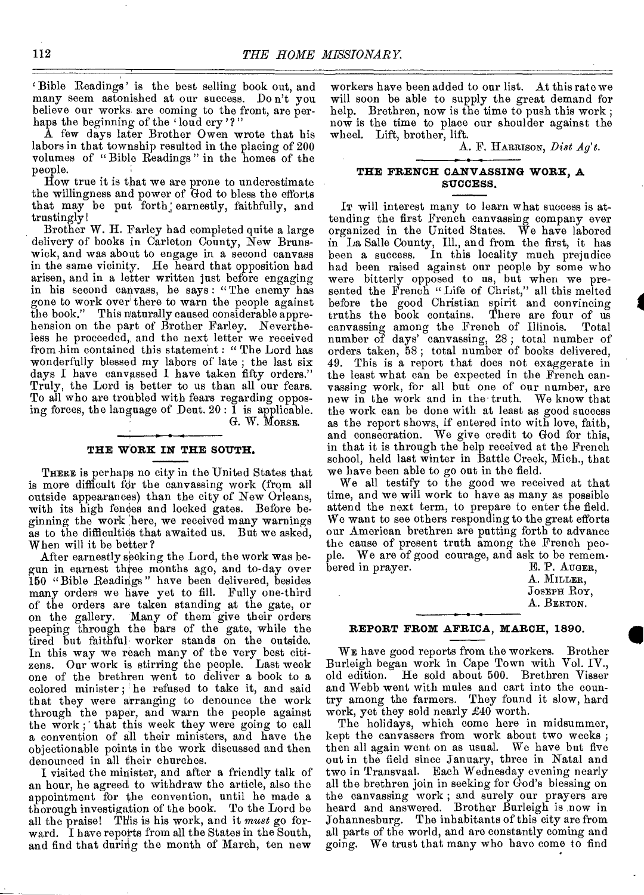Bible Readings' is the best selling book out, and many seem astonished at our success. Do n't you believe our works are coming to the front, are perhaps the beginning of the 'loud cry'?"

A few days later Brother Owen wrote that his labors in that township resulted in the placing of 200 volumes of " Bible Readings " in the homes of the people.

How true it is that we are prone to underestimate the willingness and power of God to bless the efforts that may be put forth, earnestly, faithfully, and trustingly!

Brother W. H. Farley had completed quite a large delivery of books in Carleton County, New Brunswick, and was about to engage in a second canvass in the same vicinity. He heard that opposition had arisen, and in a letter written just before engaging in his second canvass, he says : "The enemy has gone to work over' there to warn the people against the book." This naturally caused considerable apprehension on the part of Brother Farley. Nevertheless he proceeded,, and the next letter we received from him contained this statement : " The Lord has wonderfully blessed my labors of late ; the last six days I have canvassed I have taken fifty orders." Truly, the Lord is better to us than all our fears. To all who are troubled with fears regarding opposing forces, the language of Deut.  $20: \tilde{1}$  is applicable.

G. W. MORSE.

## **THE WORK IN THE SOUTH.**

THERE is perhaps no city in the United States that is more difficult fdr the canvassing work (from all outside appearances) than the city of New Orleans, with its high fences and locked gates. Before beginning the work here, we received many warnings as to the difficulties that awaited us. But we asked, When will it be better?

After earnestly seeking the Lord, the work was begun in earnest three months ago, and to-day over 150 "Bible Readings" have been delivered, besides many orders we have yet to fill. Fully one-third of the orders are taken standing at the gate, or<br>on the gallery. Many of them give their orders Many of them give their orders peeping through the bars of the gate, while the tired but faithful worker stands on the outside. In this way we reach many of the very best citizens. Our work is stirring the people. Last week one of the brethren went to deliver a book to a colored minister; he refused to take it, and said that they were arranging to denounce the work through the paper, and warn the people against the work; that this week they were going to call a convention of all their ministers, and have the objectionable points in the work discussed and then denounced in all their churches.

I visited the minister, and after a friendly talk of an hour, he agreed to withdraw the article, also the appointment for the convention, until he made a thorough investigation of the book. To the Lord be all the praise! This is his work, and it *must* go forward. I have reports from all the States in the South, and find that during the month of March, ten new

workers have been added to our list. At this rate we will soon be able to supply the great demand for help. Brethren, now is the time to push this work; now is the time to place our shoulder against the wheel. Lift, brother, lift.

A. F. HARRISON, *Dist Ag't.* 

**I** 

## **THE FRENCH CANVASSING WORK, A SUCCESS.**

IT will interest many to learn what success is attending the first French canvassing company ever organized in the United States. We have labored in La Salle County, Ill., and from the first, it has been a success. In this locality much prejudice had been raised against our people by some who were bitterly opposed to us, but when we presented the French " Life of Christ," all this melted before the good Christian spirit and convincing truths the book contains. There are four of us canvassing among the French of Illinois. Total number of days' canvassing, 28 ; total number of orders taken, 58 ; total number of books delivered, 49. This is a report that does not exaggerate in the least what can be expected in the French canvassing work, for all but one of our number, are new in the work and in the truth. We know that the work can be done with at least as good success as the report shows, if entered into with love, faith, and consecration. We give credit to God for this, in that it is through the help received at the French school, held last winter in Battle Creek, Mich., that we have been able to go out in the field.

We all testify to the good we received at that time, and we will work to have as many as possible attend the next term, to prepare to enter the field. We want to see others responding to the great efforts our American brethren are putting forth to advance the cause of present truth among the French people. We are of good courage, and ask to be remem-<br>bered in prayer. bered in prayer.

| A. MILLER,  |
|-------------|
| JOSEPH ROY, |
| A. BERTON.  |
|             |

## **REPORT FROM AFRICA, MARCH, 1890.**

WE have good reports from the workers. Brother Burleigh began work in Cape Town with Vol. IV., old edition. He sold about 500. Brethren Visser and Webb went with mules and cart into the country among the farmers. They found it slow, hard work, yet they sold nearly £40 worth.

The holidays, which come here in midsummer, kept the canvassers from work about two weeks ; then all again went on as usual. We have but five out in the field since January, three in Natal and two in Transvaal. Each Wednesday evening nearly all the brethren join in seeking for God's blessing on the canvassing work ; and surely our prayers are heard and answered. Brother Burleigh is now in Johannesburg. The inhabitants of this city are from all parts of the world, and are constantly coming and going. We trust that many who have come to find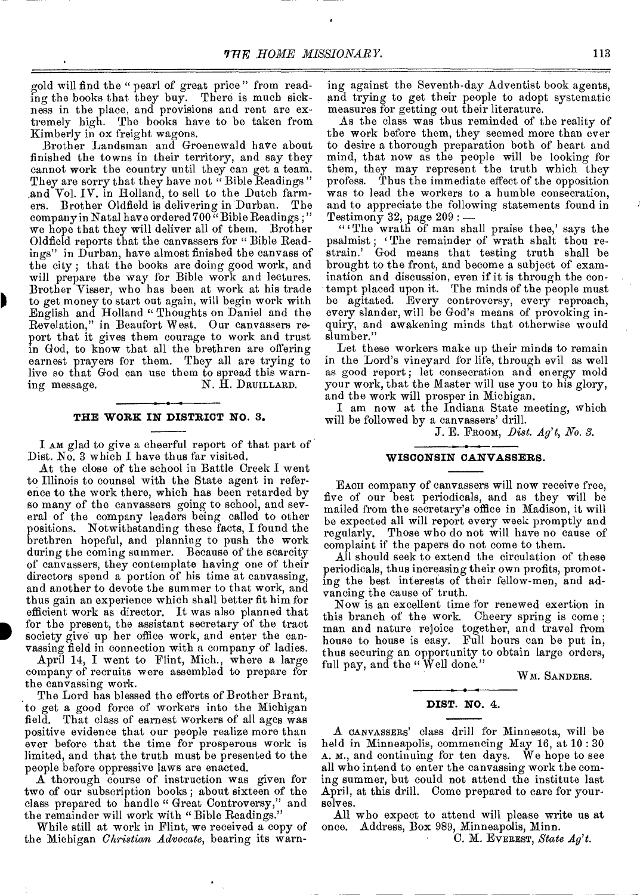gold will find the " pearl of great price " from reading the books that they buy. There is much sickness in the place, and provisions and rent are extremely high. The books have to be taken from Kimberly in ox freight wagons.

Brother Landsman and Groenewald have about finished the towns in their territory, and say they cannot work the country until they can get a team. They are sorry that they have not "Bible Readings" ,and Vol. IV. in Holland, to sell to the Dutch farmers. Brother Oldfield is delivering in Durban. The company in Natal have ordered 700<sup>"</sup> Bible Readings;" we hope that they will deliver all of them. Brother Oldfield reports that the canvassers for " Bible Readings" in Durban, have almost finished the canvass of the city ; that the books are doing good work, and will prepare the way for Bible work and lectures. Brother Visser, who has been at work at his trade to get money to start out again, will begin work with English and Holland " Thoughts on Daniel and the Revelation," in Beaufort West. Our canvassers report that it gives them courage to work and trust in God, to know that all the brethren are offering earnest prayers for them. They all are trying to live so that God can use them to spread this warn-<br>ing message.  $N$ . H. DRUILLARD. N. H. DRUILLARD.

Þ

#### **THE WORK IN DISTRICT NO.** 3.

I AM glad to give a cheerful report of that part of Dist. No. 3 which I have thus far visited.

At the close of the school in Battle Creek I went to Illinois to counsel with the State agent in reference to the work there, which has been retarded by so many of the canvassers going to school, and several of the company leaders being called to other positions. Notwithstanding these facts, I found the brethren hopeful, and planning to push the work during the coming summer. Because of the scarcity of canvassers, they contemplate having one of their directors spend a portion of his time at canvassing, and another to devote the summer to that work, and thus gain an experience which shall better fit him for efficient work as director. It was also planned that for the present, the assistant secretary of the tract society give up her office work, and enter the canvassing field in connection with a company of ladies.

April 14, I went to Flint, Mich., where a large company of recruits were assembled to prepare for the canvassing work.

The Lord has blessed the efforts of Brother Brant, to get a good force of workers into the Michigan field. That class of earnest workers of all ages was positive evidence that our people realize more than ever before that the time for prosperous work is limited, and that the truth must be presented to the people before oppressive laws are enacted.

A thorough course of instruction was given for two of our subscription books ; about sixteen of the class prepared to handle " Great Controversy," and the remainder will work with "Bible Readings."

While still at work in Flint, we received a copy of the Michigan *Christian Advocate,* bearing its warning against the Seventh-day Adventist book agents, and trying to get their people to adopt systematic measures for getting out their literature.

As the class was thus reminded of the reality of the work before them, they seemed more than ever to desire a thorough preparation both of heart and mind, that now as the people will be looking for them, they may represent the truth which they profess. Thus the immediate effect of the opposition was to lead the workers to a humble consecration, and to appreciate the following statements found in Testimony 32, page  $209:$   $-$ 

"'The wrath of man shall praise thee,' says the psalmist ; The remainder of wrath shalt thou restrain.' God means that testing truth shall be brought to the front, and become a subject of examination and discussion, even if it is through the contempt placed upon it. The minds of the people must be agitated. Every controversy, every reproach, every slander, will be God's means of provoking inquiry, and awakening minds that otherwise would slumber."

Let these workers make up their minds to remain in the Lord's vineyard for life, through evil as well as good report; let consecration and energy mold your work, that the Master will use you to his glory, and the work will prosper in Michigan.

I am now at the Indiana State meeting, which will be followed by a canvassers' drill.

J. E. FROOM, *Dist. Ag't, No. 3. - . -* 

#### *WISCONSIN* **CANVASSERS.**

EACH company of canvassers will now receive free, five of our best periodicals, and as they will be mailed from the secretary's office in Madison, it will be expected all will report every week promptly and regularly. Those who do not will have no cause of complaint if the papers do not come to them.

All should seek to extend the circulation of these periodicals, thus increasing their own profits, promoting the best interests of their fellow-men, and advancing the cause of truth.

Now is an excellent time for renewed exertion in this branch of the work. Cheery spring is come ; man and nature rejoice together, and travel from house to house is easy. Full hours can be put in, thus securing an opportunity to obtain large orders, full pay, and the " Well done."

WM. SANDERS.

#### **DIST. NO.** 4.

A CANVASSERS' class drill for Minnesota, will be held in Minneapolis, commencing May 16, at 10 : 30 A. M., and continuing for ten days. We hope to see all who intend to enter the canvassing work the coming summer, but could not attend the institute last April, at this drill. Come prepared to care for yourselves.

All who expect to attend will please write us at once. Address, Box 989, Minneapolis, Minn.

C. M. EVEREST, *State Ag't.*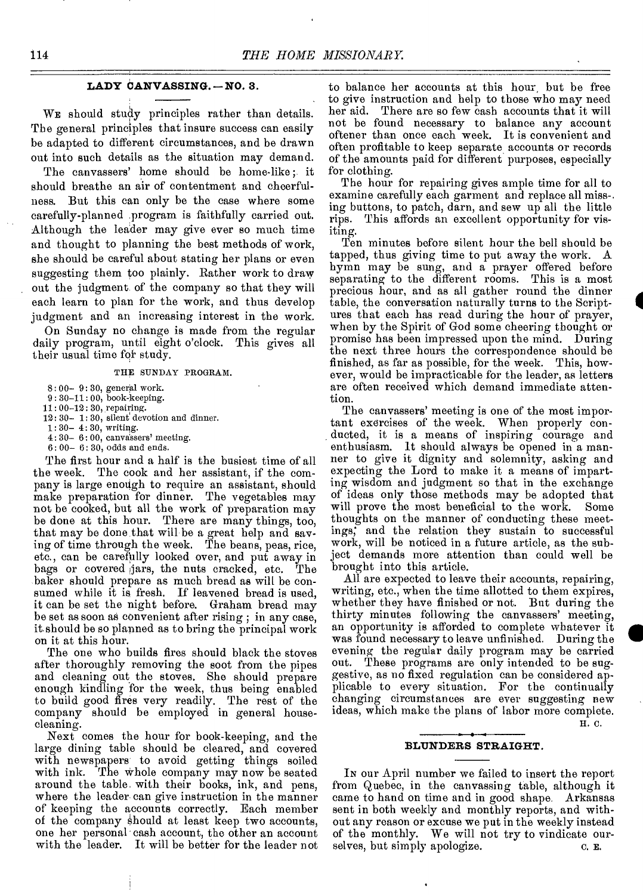## **LADY CANVASSING. —NO. 3.**

WE should study principles rather than details. The general principles that insure success can easily be adapted to different circumstances, and be drawn out into such details as the situation may demand.

The canvassers' home should be home-like ; it should breathe an air of contentment and cheerfulness. But this can only be the case where some carefully-planned program is faithfully carried out. Although the leader may give ever so much time and thought to planning the best methods of work, she should be careful about stating her plans or even suggesting them too plainly. Rather work to draw out the judgment of the company so that they will each learn to plan for the work, and thus develop judgment and an increasing interest in the work.

On Sunday no change is made from the regular daily program, until eight o'clock. This gives all their usual time for study.

THE SUNDAY PROGRAM.

8: 00— 9: 30, general work.

9: 30-11: 00, book-keeping.

11: 00-12: 30, repairing.

- 12: 30— 1: 30, silent devotion and dinner.
- 1: 30— 4: 30, writing.
- $4:30-6:00$ , canvassers' meeting. 6: 00— 6: 30, odds and ends.

The first hour and a half is the busiest time of all the week. The cook and her assistant, if the company is large enough to require an assistant, should make preparation for dinner. The vegetables may not be cooked, but all the work of preparation may be done at this hour. There are many things, too, that may be done that will be a great help and saving of time through the week. The beans, peas, rice, etc., can be carefully looked over, and put away in bags or covered ,jars, the nuts cracked, etc. The baker should prepare as much bread as will be consumed while it is fresh. If leavened bread is used, it can be set the night before. Graham bread may be set as soon as convenient after rising ; in any case, it.should be so planned as to bring the principal work on it at this hour.

The one who builds fires should black the stoves after thoroughly removing the soot from the pipes and cleaning out the stoves. She should prepare enough kindling for the week, thus being enabled to build good fires very readily. The rest of the company should be employed in general housecleaning.

Next comes the hour for book-keeping, and the large dining table should be cleared, and covered with newspapers to avoid getting things soiled with ink. The whole company may now be seated around the table. with their books, ink, and pens, where the leader can give instruction in the manner of keeping the accounts correctly. Each member of the company should at least keep two accounts, one her personal cash account, the other an account with the leader. It will be better for the leader not

to balance her accounts at this hour but be free to give instruction and help to those who may need her aid. There are so few cash accounts that it will not be found necessary to balance any account oftener than once each week. It is convenient and often profitable to keep separate accounts or records of the amounts paid for different purposes, especially for clothing.

The hour for repairing gives ample time for all to examine carefully each garment and replace all miss-. ing buttons, to patch, darn, and sew up all the little This affords an excellent opportunity for visiting.

Ten minutes before silent hour the bell should be tapped, thus giving time to put away the work. A hymn may be sung, and a prayer offered before separating to the different rooms. This is a most precious hour, and as all gather round the dinner table, the conversation naturally turns to the Scriptures that each has read during the hour of prayer, when by the Spirit of God some cheering thought or promise has been impressed upon the mind. During the next three hours the correspondence should be finished, as far as possible, for the week. This, however, would be impracticable for the leader, as letters are often received which demand immediate attention.

The canvassers' meeting is one of the most important exercises of the week. When properly conducted, it is a means of inspiring courage and enthusiasm, It should always be opened in a manner to give it dignity and solemnity, asking and expecting the Lord to make it a means of imparting wisdom and judgment so that in the exchange of ideas only those methods may be adopted that will prove the most beneficial to the work. Some thoughts on the manner of conducting these meetings; and the relation they sustain to successful work, will be noticed in a future article, as the subject demands more attention than could well be brought into this article.

All are expected to leave their accounts, repairing, writing, etc., when the time allotted to them expires, whether they have finished or not. But during the thirty minutes following the canvassers' meeting, an opportunity is afforded to complete whatever it was found necessary to leave unfinished. During the evening the regular daily program may be carried out. These programs are only intended to be suggestive, as no fixed regulation can be considered applicable to every situation. For the continually changing circumstances are ever suggesting new ideas, which make the plans of labor more complete. H. C.

#### **BLUNDERS STRAIGHT.**

IN our April number we failed to insert the report from Quebec, in the canvassing table, although it came to hand on time and in good shape. Arkansas sent in both weekly and monthly reports, and without any reason or excuse we put in the weekly instead of the monthly. We will not try to vindicate ourselves, but simply apologize.  $\qquad c. \nE.$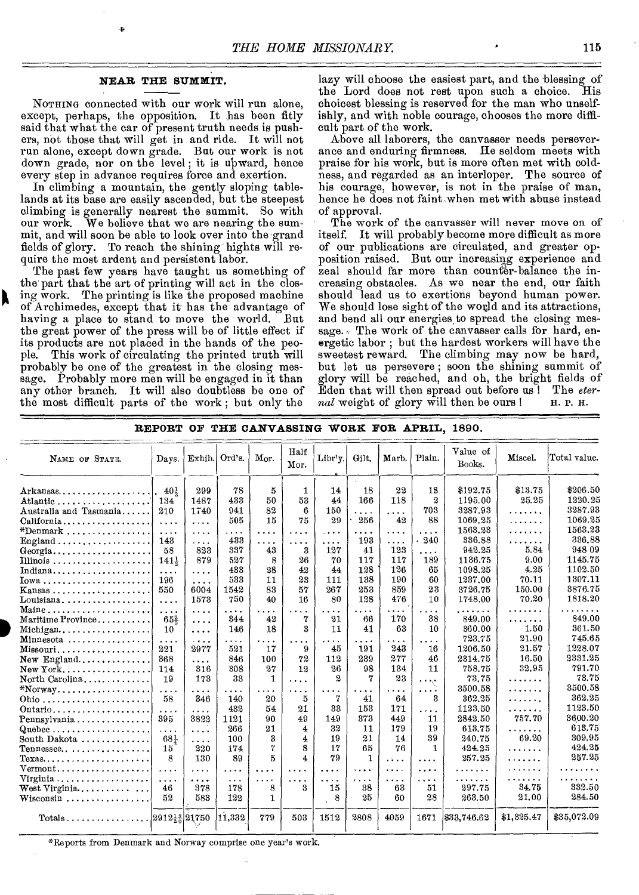## **NEAR THE SUMMIT.**

NOTHING connected with our work will run alone, except, perhaps, the opposition. It has been fitly said that what the car of present truth needs is pushers, not those that will get in and ride. It will not run alone, except down grade. But our work is not down grade, nor on the level; it is upward, hence every step in advance requires force and exertion.

In climbing a mountain, the gently sloping tablelands at its base are easily ascended, but the steepest climbing is generally nearest the summit. So with our work. We believe that we are nearing the summit, and will soon be able to look over into the grand fields of glory. To reach the shining hights will require the most ardent and persistent labor.

The past few years have taught us something of the part that the art of printing will act in the closing work. The printing is like the proposed machine of Archimedes, except that it' has the advantage of having a place to stand to move the world. But the great power of the press will be of little effect if its products are not placed in the hands of the people. This work of circulating the printed truth will probably be one of the greatest in the closing message. Probably more men will be engaged in it than any other branch. It will also doubtless be one of the most difficult parts of the work ; but only the

lazy will choose the easiest part, and the blessing of the Lord does not rest upon such a choice. His choicest blessing is reserved for the man who unselfishly, and with noble courage, chooses the more difficult part of the work.

Above all laborers, the canvasser needs perseverance and enduring firmness. He seldom meets with praise for his work, but is more often met with coldness, and regarded as an interloper. The source of his courage, however, is not in the praise of man, hence he does not faint when met with abuse instead of approval.

The work of the canvasser will never move on of itself. It will probably become more difficult as more of our publications are circulated, and greater opposition raised. But our increasing experience and zeal should far more than counter-balance the increasing obstacles. As we near the end, our faith should lead us to exertions beyond human power. We should lose sight of the world and its attractions, and bend all our energies, to spread the closing message.  $\sqrt{ }$  The work of the canvasser calls for hard, energetic labor ; but the hardest workers will have the sweetest reward. The climbing may now be hard, but let us persevere ; soon the shining summit of glory will be reached, and oh, the bright fields of Eden that will then spread out before us! The *eter-*<br> *nal* weight of glory will then be ours! H.P.H. *nal* weight of glory will then be ours!

| NAME OF STATE.                                                  | Days.            | Exhib.   | Ord's.   | Mor.                 | Half<br>Mor. | Libr'y.      | Gilt.    | Marb.        | Plain.   | Value of<br>Books. | Miscel.    | Total value. |
|-----------------------------------------------------------------|------------------|----------|----------|----------------------|--------------|--------------|----------|--------------|----------|--------------------|------------|--------------|
| $Arkansas \ldots \ldots \ldots$                                 | 40 <sup>1</sup>  | 299      | 78       | 5                    | 1            | 14           | 18       | 22           | 18       | \$192.75           | \$13.75    | \$206.50     |
| Atlantic                                                        | 134              | 1487     | 433      | 50                   | 53           | 44           | 166      | 118          | $^{2}$   | 1195.00            | 25.25      | 1220.25      |
| Australia and Tasmania                                          | 210              | 1740     | 941      | 82                   | 6            | 150          | $\cdots$ | $\cdots$     | 703      | 3287.93            | .          | 3287.93      |
| California                                                      | $\cdots$         | $\cdots$ | 505      | 15                   | 75           | 29           | 256      | 42           | 88       | 1069.25            | .          | 1069.25      |
| $*$ Denmark                                                     | $\cdots$         | $\cdots$ | .        | .                    | $\cdots$     | $\cdots$     | .        | $\cdots$     | .        | 1563.23            | .          | 1563.23      |
| ${\rm England} \ldots \ldots \ldots \ldots \ldots$              | 143              | $\cdots$ | 433      | .                    | .            | .            | 193      | $\cdots$     | 240      | 336.88             | .          | 336.88       |
| $Georgia$                                                       | 58               | 823      | 337      | 43                   | 3            | 127          | 41       | 123          | .        | 942.25             | 5.84       | 948 09       |
|                                                                 | 141 <sub>5</sub> | 879      | 527      | 8                    | 26           | 70           | 117      | 117          | 189      | 1136.75            | 9.00       | 1145.75      |
| Indiana                                                         | $\cdots$         | $\cdots$ | 433      | 28                   | 42           | 44           | 128      | 126          | 65       | 1098.25            | 4.25       | 1102.50      |
| $Iowa \ldots \ldots \ldots \ldots \ldots \ldots$                | 196              | $\cdots$ | 533      | 11                   | 23           | 111          | 138      | 190          | 60       | 1237,00            | 70.11      | 1307.11      |
| $Kanasas \ldots \ldots \ldots \ldots \ldots$                    | 550              | 6004     | 1542     | 83                   | 57           | 267          | 253      | 859          | 23       | 3726.75            | 150.00     | 3876.75      |
| $Louisiana, \ldots, \ldots, \ldots, \ldots$                     | $\cdots$         | 1573     | 750      | 40                   | 16           | 80           | 128      | 476          | 10       | 1748.00            | 70.20      | 1818.20      |
| Maine                                                           | .                | $\cdots$ | .        | $\sim$ $\sim$ $\sim$ | $\ddotsc$    | .            | .        | .            | .        | $\cdots$           | .          |              |
| Maritime Province                                               | 65 <sup>2</sup>  | $\cdots$ | 844      | 42                   | 7            | 21           | 66       | 170          | 38       | 849.00             | .          | 849.00       |
| Michigan                                                        | 10               | .        | 146      | 18                   | 3            | 11           | 41       | 63           | 10.      | 360.00             | 1.50       | 361.50       |
| Minnesota                                                       | $\cdots$         | $   -$   | .        | .                    | $\cdots$     | $\cdots$     | .        | $\cdots$     | $\cdots$ | 723.75             | 21.90      | 745.65       |
| Missouri                                                        | 221              | 2977     | 521      | 17                   | 9            | 45           | 191      | 243          | 16       | 1206.50            | 21.57      | 1228.07      |
| $New$ England                                                   | 368              | $\cdots$ | 846      | 100                  | 72           | 112          | 239      | 277          | 46       | 2314.75            | 16.50      | 2331.25      |
|                                                                 | 114              | 316      | 308      | 27                   | 12           | 26           | 98       | 134          | 11       | 758.75             | 32.95      | 791.70       |
| North Carolina                                                  | 19               | 173      | 33       | $\mathbf{1}$         | .            | $\mathbf{2}$ | 7        | 23           | .        | 73.75              | .          | 73.75        |
| $*$ Norway                                                      | .                | .        | .        | $\sim$ $\sim$ $\sim$ | .            | .            | $\cdots$ | $\cdots$     | .        | 3500.58            | .          | 3500.58      |
|                                                                 | 58               | 346      | 140      | 20                   | 5            | 7            | 41       | 64           | 3        | 362.25             | .          | 362.25       |
| Ontario                                                         | $\cdots$         | $\cdots$ | 432      | 54                   | 21           | 33           | 153      | 171          | $\cdots$ | 1123.50            | .          | 1123.50      |
| Pennsylvania                                                    | 395              | 3822     | 1121     | 90                   | 49           | 149          | 373      | 449          | 11       | 2842.50            | 757.70     | 3600.20      |
| Quebec                                                          | .                | .        | 266      | 21                   | 4            | 32           | 11       | 179          | 19       | 613.75             | .          | 613.75       |
| South Dakota                                                    | $68\frac{1}{4}$  | $\cdots$ | 100      | 3                    | 4            | 19           | 21       | 14           | 39       | 240.75             | 69.20      | 309.95       |
| $T$ ennessee                                                    | 15               | 220      | 174      | 7                    | 8            | 17           | 65       | 76           | 1.       | 424.25             | .          | 424.25       |
| ${\rm Texas.} \ldots \ldots \ldots \ldots \ldots \ldots \ldots$ | 8                | 130      | 89       | 5                    | 4            | 79           | 1        | $\mathbf{1}$ | .        | 257.25             | . <i>.</i> | 257.25       |
| $Vermont$                                                       | $\cdots$         | $\cdots$ | .        | .                    | .            | .            | $\cdots$ | $\cdots$     | .        | .                  | .          | $\ddotsc$    |
| Virginia                                                        | $\cdots$         | .        | $\cdots$ | $\cdots$             | .            | .            | .        | .            | $\cdots$ |                    | .          | .            |
| West Virginia                                                   | 46               | 378      | 178      | 8                    | 3            | 15           | 38       | 63           | 51       | 297.75             | 34.75      | 332.50       |
| Wisconsin                                                       | 52               | 583      | 122      | $\mathbf{1}$         |              | 8            | 25       | 60           | 28       | 263.50             | 21.00      | 284.50       |
|                                                                 | 291212 21750     |          | 11,332   | 779                  | 503          | 1512         | 2808     | 4059         | 1671     | \$33,746.62        | \$1,325.47 | \$35,072.09  |

## **REPORT OF THE CANVASSING WORK FOR APRIL, 1890.**

\*Reports from Denmark and Norway comprise one year's work.